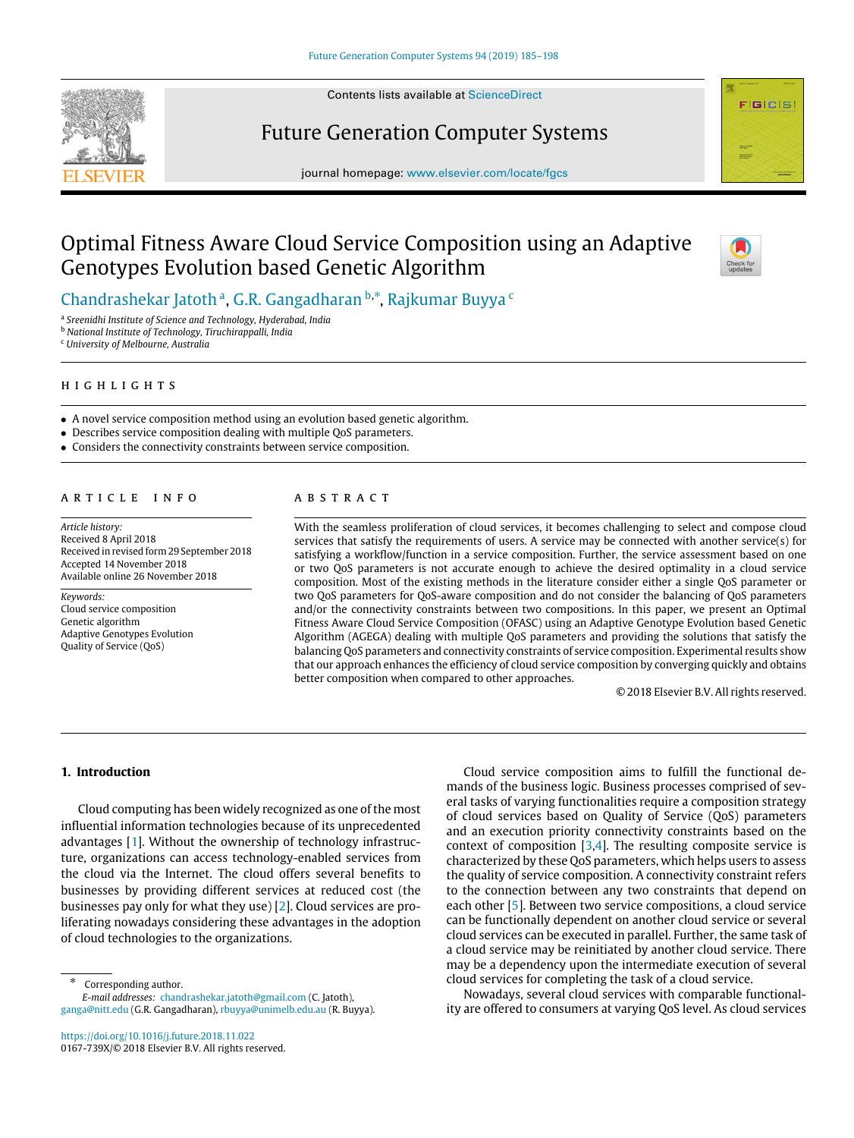

Contents lists available at [ScienceDirect](http://www.elsevier.com/locate/fgcs)

# Future Generation Computer Systems



# Optimal Fitness Aware Cloud Service Composition using an Adaptive Genotypes Evolution based Genetic Algorithm



**FIGICIS** 

[Chandrashekar](#page-13-0) [Jatoth](#page-13-0) ª, G.R. G[a](#page-0-0)ngadharan <sup>[b](#page-0-1),</sup>\*, [Rajkumar](#page-13-2) [Buyya](#page-13-2) <sup>[c](#page-0-3)</sup>

<span id="page-0-0"></span>a *Sreenidhi Institute of Science and Technology, Hyderabad, India*

<span id="page-0-1"></span><sup>b</sup> *National Institute of Technology, Tiruchirappalli, India*

<span id="page-0-3"></span><sup>c</sup> *University of Melbourne, Australia*

h i g h l i g h t s

- A novel service composition method using an evolution based genetic algorithm.
- Describes service composition dealing with multiple QoS parameters.
- Considers the connectivity constraints between service composition.

## ARTICLE INFO

*Article history:* Received 8 April 2018 Received in revised form 29 September 2018 Accepted 14 November 2018 Available online 26 November 2018

*Keywords:* Cloud service composition Genetic algorithm Adaptive Genotypes Evolution Quality of Service (QoS)

# a b s t r a c t

With the seamless proliferation of cloud services, it becomes challenging to select and compose cloud services that satisfy the requirements of users. A service may be connected with another service(s) for satisfying a workflow/function in a service composition. Further, the service assessment based on one or two QoS parameters is not accurate enough to achieve the desired optimality in a cloud service composition. Most of the existing methods in the literature consider either a single QoS parameter or two QoS parameters for QoS-aware composition and do not consider the balancing of QoS parameters and/or the connectivity constraints between two compositions. In this paper, we present an Optimal Fitness Aware Cloud Service Composition (OFASC) using an Adaptive Genotype Evolution based Genetic Algorithm (AGEGA) dealing with multiple QoS parameters and providing the solutions that satisfy the balancing QoS parameters and connectivity constraints of service composition. Experimental results show that our approach enhances the efficiency of cloud service composition by converging quickly and obtains better composition when compared to other approaches.

© 2018 Elsevier B.V. All rights reserved.

# **1. Introduction**

Cloud computing has been widely recognized as one of the most influential information technologies because of its unprecedented advantages [\[1](#page-12-0)]. Without the ownership of technology infrastructure, organizations can access technology-enabled services from the cloud via the Internet. The cloud offers several benefits to businesses by providing different services at reduced cost (the businesses pay only for what they use) [[2](#page-12-1)]. Cloud services are proliferating nowadays considering these advantages in the adoption of cloud technologies to the organizations.

<span id="page-0-2"></span>∗ Corresponding author.

*E-mail addresses:* [chandrashekar.jatoth@gmail.com](mailto:chandrashekar.jatoth@gmail.com) (C. Jatoth), [ganga@nitt.edu](mailto:ganga@nitt.edu) (G.R. Gangadharan), [rbuyya@unimelb.edu.au](mailto:rbuyya@unimelb.edu.au) (R. Buyya).

<https://doi.org/10.1016/j.future.2018.11.022> 0167-739X/© 2018 Elsevier B.V. All rights reserved.

Cloud service composition aims to fulfill the functional demands of the business logic. Business processes comprised of several tasks of varying functionalities require a composition strategy of cloud services based on Quality of Service (QoS) parameters and an execution priority connectivity constraints based on the context of composition [\[3](#page-12-2)[,4](#page-12-3)]. The resulting composite service is characterized by these QoS parameters, which helps users to assess the quality of service composition. A connectivity constraint refers to the connection between any two constraints that depend on each other [\[5\]](#page-12-4). Between two service compositions, a cloud service can be functionally dependent on another cloud service or several cloud services can be executed in parallel. Further, the same task of a cloud service may be reinitiated by another cloud service. There may be a dependency upon the intermediate execution of several cloud services for completing the task of a cloud service.

Nowadays, several cloud services with comparable functionality are offered to consumers at varying QoS level. As cloud services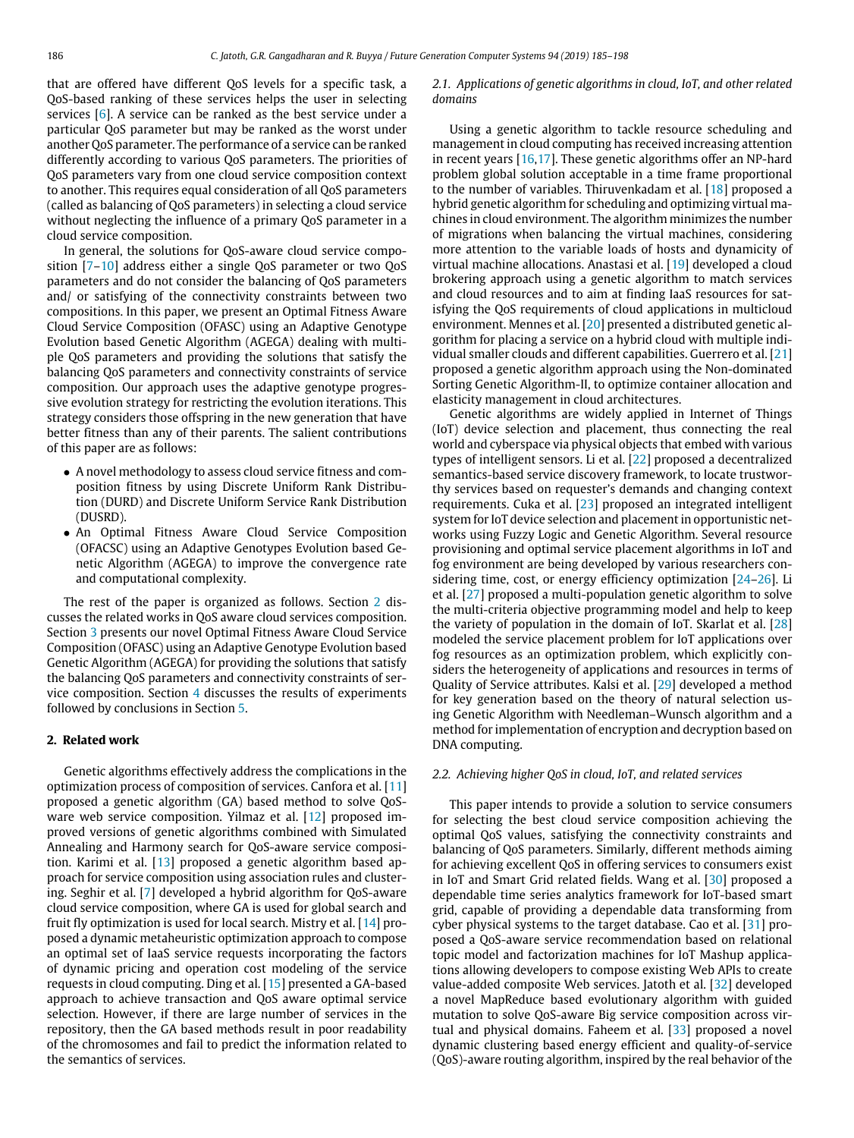that are offered have different QoS levels for a specific task, a QoS-based ranking of these services helps the user in selecting services [\[6\]](#page-12-5). A service can be ranked as the best service under a particular QoS parameter but may be ranked as the worst under another QoS parameter. The performance of a service can be ranked differently according to various QoS parameters. The priorities of QoS parameters vary from one cloud service composition context to another. This requires equal consideration of all QoS parameters (called as balancing of QoS parameters) in selecting a cloud service without neglecting the influence of a primary QoS parameter in a cloud service composition.

In general, the solutions for QoS-aware cloud service compo-sition [\[7](#page-12-6)[–10\]](#page-12-7) address either a single QoS parameter or two QoS parameters and do not consider the balancing of QoS parameters and/ or satisfying of the connectivity constraints between two compositions. In this paper, we present an Optimal Fitness Aware Cloud Service Composition (OFASC) using an Adaptive Genotype Evolution based Genetic Algorithm (AGEGA) dealing with multiple QoS parameters and providing the solutions that satisfy the balancing QoS parameters and connectivity constraints of service composition. Our approach uses the adaptive genotype progressive evolution strategy for restricting the evolution iterations. This strategy considers those offspring in the new generation that have better fitness than any of their parents. The salient contributions of this paper are as follows:

- A novel methodology to assess cloud service fitness and composition fitness by using Discrete Uniform Rank Distribution (DURD) and Discrete Uniform Service Rank Distribution (DUSRD).
- An Optimal Fitness Aware Cloud Service Composition (OFACSC) using an Adaptive Genotypes Evolution based Genetic Algorithm (AGEGA) to improve the convergence rate and computational complexity.

The rest of the paper is organized as follows. Section [2](#page-1-0) discusses the related works in QoS aware cloud services composition. Section [3](#page-2-0) presents our novel Optimal Fitness Aware Cloud Service Composition (OFASC) using an Adaptive Genotype Evolution based Genetic Algorithm (AGEGA) for providing the solutions that satisfy the balancing QoS parameters and connectivity constraints of service composition. Section [4](#page-5-0) discusses the results of experiments followed by conclusions in Section [5.](#page-8-0)

# **2. Related work**

<span id="page-1-0"></span>Genetic algorithms effectively address the complications in the optimization process of composition of services. Canfora et al. [\[11\]](#page-12-8) proposed a genetic algorithm (GA) based method to solve QoS-ware web service composition. Yilmaz et al. [[12](#page-12-9)] proposed improved versions of genetic algorithms combined with Simulated Annealing and Harmony search for QoS-aware service composition. Karimi et al. [\[13\]](#page-12-10) proposed a genetic algorithm based approach for service composition using association rules and clustering. Seghir et al. [[7](#page-12-6)] developed a hybrid algorithm for QoS-aware cloud service composition, where GA is used for global search and fruit fly optimization is used for local search. Mistry et al. [[14](#page-12-11)] proposed a dynamic metaheuristic optimization approach to compose an optimal set of IaaS service requests incorporating the factors of dynamic pricing and operation cost modeling of the service requests in cloud computing. Ding et al. [[15](#page-12-12)] presented a GA-based approach to achieve transaction and QoS aware optimal service selection. However, if there are large number of services in the repository, then the GA based methods result in poor readability of the chromosomes and fail to predict the information related to the semantics of services.

# *2.1. Applications of genetic algorithms in cloud, IoT, and other related domains*

Using a genetic algorithm to tackle resource scheduling and management in cloud computing has received increasing attention in recent years [\[16,](#page-12-13)[17](#page-12-14)]. These genetic algorithms offer an NP-hard problem global solution acceptable in a time frame proportional to the number of variables. Thiruvenkadam et al. [\[18\]](#page-12-15) proposed a hybrid genetic algorithm for scheduling and optimizing virtual machines in cloud environment. The algorithm minimizes the number of migrations when balancing the virtual machines, considering more attention to the variable loads of hosts and dynamicity of virtual machine allocations. Anastasi et al. [\[19\]](#page-12-16) developed a cloud brokering approach using a genetic algorithm to match services and cloud resources and to aim at finding IaaS resources for satisfying the QoS requirements of cloud applications in multicloud environment. Mennes et al. [\[20\]](#page-12-17) presented a distributed genetic algorithm for placing a service on a hybrid cloud with multiple individual smaller clouds and different capabilities. Guerrero et al. [\[21\]](#page-12-18) proposed a genetic algorithm approach using the Non-dominated Sorting Genetic Algorithm-II, to optimize container allocation and elasticity management in cloud architectures.

Genetic algorithms are widely applied in Internet of Things (IoT) device selection and placement, thus connecting the real world and cyberspace via physical objects that embed with various types of intelligent sensors. Li et al. [\[22](#page-12-19)] proposed a decentralized semantics-based service discovery framework, to locate trustworthy services based on requester's demands and changing context requirements. Cuka et al. [[23](#page-12-20)] proposed an integrated intelligent system for IoT device selection and placement in opportunistic networks using Fuzzy Logic and Genetic Algorithm. Several resource provisioning and optimal service placement algorithms in IoT and fog environment are being developed by various researchers considering time, cost, or energy efficiency optimization [\[24–](#page-12-21)[26](#page-12-22)]. Li et al. [\[27](#page-12-23)] proposed a multi-population genetic algorithm to solve the multi-criteria objective programming model and help to keep the variety of population in the domain of IoT. Skarlat et al. [\[28\]](#page-12-24) modeled the service placement problem for IoT applications over fog resources as an optimization problem, which explicitly considers the heterogeneity of applications and resources in terms of Quality of Service attributes. Kalsi et al. [[29](#page-12-25)] developed a method for key generation based on the theory of natural selection using Genetic Algorithm with Needleman–Wunsch algorithm and a method for implementation of encryption and decryption based on DNA computing.

## *2.2. Achieving higher QoS in cloud, IoT, and related services*

This paper intends to provide a solution to service consumers for selecting the best cloud service composition achieving the optimal QoS values, satisfying the connectivity constraints and balancing of QoS parameters. Similarly, different methods aiming for achieving excellent QoS in offering services to consumers exist in IoT and Smart Grid related fields. Wang et al. [\[30](#page-12-26)] proposed a dependable time series analytics framework for IoT-based smart grid, capable of providing a dependable data transforming from cyber physical systems to the target database. Cao et al. [\[31\]](#page-12-27) proposed a QoS-aware service recommendation based on relational topic model and factorization machines for IoT Mashup applications allowing developers to compose existing Web APIs to create value-added composite Web services. Jatoth et al. [\[32\]](#page-12-28) developed a novel MapReduce based evolutionary algorithm with guided mutation to solve QoS-aware Big service composition across virtual and physical domains. Faheem et al. [\[33\]](#page-12-29) proposed a novel dynamic clustering based energy efficient and quality-of-service (QoS)-aware routing algorithm, inspired by the real behavior of the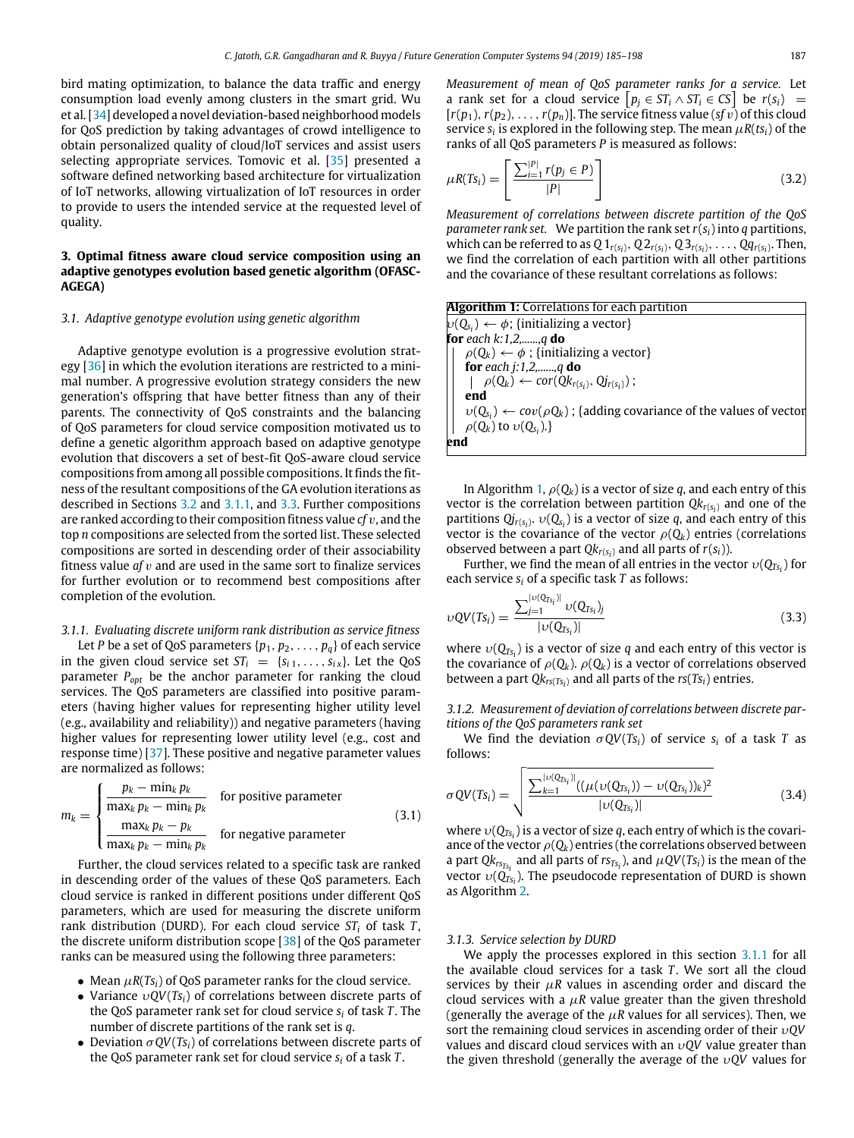bird mating optimization, to balance the data traffic and energy consumption load evenly among clusters in the smart grid. Wu et al. [[34](#page-12-30)] developed a novel deviation-based neighborhood models for QoS prediction by taking advantages of crowd intelligence to obtain personalized quality of cloud/IoT services and assist users selecting appropriate services. Tomovic et al. [\[35\]](#page-12-31) presented a software defined networking based architecture for virtualization of IoT networks, allowing virtualization of IoT resources in order to provide to users the intended service at the requested level of quality.

# **3. Optimal fitness aware cloud service composition using an adaptive genotypes evolution based genetic algorithm (OFASC-AGEGA)**

## <span id="page-2-0"></span>*3.1. Adaptive genotype evolution using genetic algorithm*

Adaptive genotype evolution is a progressive evolution strategy  $[36]$  in which the evolution iterations are restricted to a minimal number. A progressive evolution strategy considers the new generation's offspring that have better fitness than any of their parents. The connectivity of QoS constraints and the balancing of QoS parameters for cloud service composition motivated us to define a genetic algorithm approach based on adaptive genotype evolution that discovers a set of best-fit QoS-aware cloud service compositions from among all possible compositions. It finds the fitness of the resultant compositions of the GA evolution iterations as described in Sections [3.2](#page-3-0) and [3.1.1,](#page-2-1) and [3.3](#page-3-1). Further compositions are ranked according to their composition fitness value *cf* v, and the top *n* compositions are selected from the sorted list. These selected compositions are sorted in descending order of their associability fitness value *af* v and are used in the same sort to finalize services for further evolution or to recommend best compositions after completion of the evolution.

## *3.1.1. Evaluating discrete uniform rank distribution as service fitness*

<span id="page-2-1"></span>Let *P* be a set of QoS parameters  $\{p_1, p_2, \ldots, p_q\}$  of each service in the given cloud service set  $ST_i = \{s_{i1}, \ldots, s_{iX}\}\$ . Let the QoS parameter *Popt* be the anchor parameter for ranking the cloud services. The QoS parameters are classified into positive parameters (having higher values for representing higher utility level (e.g., availability and reliability)) and negative parameters (having higher values for representing lower utility level (e.g., cost and response time) [\[37\]](#page-12-33). These positive and negative parameter values are normalized as follows:

$$
m_k = \begin{cases} \frac{p_k - \min_k p_k}{\max_k p_k - \min_k p_k} & \text{for positive parameter} \\ \frac{\max_k p_k - p_k}{\max_k p_k - \min_k p_k} & \text{for negative parameter} \end{cases}
$$
(3.1)

Further, the cloud services related to a specific task are ranked in descending order of the values of these QoS parameters. Each cloud service is ranked in different positions under different QoS parameters, which are used for measuring the discrete uniform rank distribution (DURD). For each cloud service *ST<sup>i</sup>* of task *T* , the discrete uniform distribution scope [\[38\]](#page-12-34) of the QoS parameter ranks can be measured using the following three parameters:

- Mean  $\mu R(Ts_i)$  of QoS parameter ranks for the cloud service.
- Variance υ*QV*(*Tsi*) of correlations between discrete parts of the QoS parameter rank set for cloud service *s<sup>i</sup>* of task *T* . The number of discrete partitions of the rank set is *q*.
- Deviation  $\sigma QV(Ts_i)$  of correlations between discrete parts of the QoS parameter rank set for cloud service *s<sup>i</sup>* of a task *T* .

*Measurement of mean of QoS parameter ranks for a service.* Let a rank set for a cloud service  $[p_j \in ST_i \land ST_i \in CS]$  be  $r(s_i)$  =  $[r(p_1), r(p_2), \ldots, r(p_n)]$ . The service fitness value (*sf v*) of this cloud service  $s_i$  is explored in the following step. The mean  $\mu R(ts_i)$  of the ranks of all QoS parameters *P* is measured as follows:

$$
\mu R(Ts_i) = \left[ \frac{\sum_{i=1}^{|P|} r(p_i \in P)}{|P|} \right]
$$
\n(3.2)

*Measurement of correlations between discrete partition of the QoS parameter rank set.* We partition the rank set*r*(*si*) into *q* partitions, which can be referred to as  $Q1_{r(s_i)}, Q2_{r(s_i)}, Q3_{r(s_i)}, \ldots, Qq_{r(s_i)}$ . Then, we find the correlation of each partition with all other partitions and the covariance of these resultant correlations as follows:

<span id="page-2-2"></span>

| <b>Algorithm 1:</b> Correlations for each partition                                |
|------------------------------------------------------------------------------------|
| $\nu(Q_{s_i}) \leftarrow \phi$ ; {initializing a vector}                           |
| for each $k:1,2,,q$ do                                                             |
| $\rho(Q_k) \leftarrow \phi$ ; {initializing a vector}                              |
| for each j:1,2,,q do                                                               |
| $\rho(Q_k) \leftarrow cor(Qk_{r(s_i)}, Qj_{r(s_i)})$ ;                             |
| end                                                                                |
| $v(Q_{s_i}) \leftarrow cov(\rho Q_k)$ ; {adding covariance of the values of vector |
| $\rho(Q_k)$ to $\nu(Q_{s_i}).$                                                     |
| end                                                                                |

In Algorithm [1,](#page-2-2)  $\rho(Q_k)$  is a vector of size *q*, and each entry of this vector is the correlation between partition *Qkr*(*s<sup>i</sup>* ) and one of the partitions  $Qj_{r(s_i)}$ ,  $v(Q_{s_i})$  is a vector of size *q*, and each entry of this vector is the covariance of the vector  $\rho(Q_k)$  entries (correlations observed between a part  $Qk_{r(s_i)}$  and all parts of  $r(s_i)$ ).

Further, we find the mean of all entries in the vector  $v(Q_{Ts_i})$  for each service *s<sup>i</sup>* of a specific task *T* as follows:

$$
vQV(Ts_i) = \frac{\sum_{j=1}^{|v(Q_{Ts_i})|} v(Q_{Ts_i})_j}{|v(Q_{Ts_i})|}
$$
(3.3)

where  $v(Q_{Ts_i})$  is a vector of size *q* and each entry of this vector is the covariance of  $\rho(Q_k)$ .  $\rho(Q_k)$  is a vector of correlations observed between a part *Qkrs*(*Ts<sup>i</sup>* ) and all parts of the *rs*(*Tsi*) entries.

*3.1.2. Measurement of deviation of correlations between discrete partitions of the QoS parameters rank set*

We find the deviation  $\sigma QV(Ts_i)$  of service  $s_i$  of a task *T* as follows:

$$
\sigma QV(T_{S_i}) = \sqrt{\frac{\sum_{k=1}^{|v(Q_{T_{S_i}})|}((\mu(v(Q_{T_{S_i}})) - v(Q_{T_{S_i}}))_k)^2}{|v(Q_{T_{S_i}})|}}
$$
(3.4)

where υ(*QTs<sup>i</sup>* ) is a vector of size *q*, each entry of which is the covariance of the vector  $\rho(Q_k)$  entries (the correlations observed between a part  $Qk_{rs_{Ts_i}}$  and all parts of  $rs_{Ts_i}$ ), and  $\mu QV(Ts_i)$  is the mean of the vector  $v(Q_{Ts_i})$ . The pseudocode representation of DURD is shown as Algorithm [2](#page-3-2).

## *3.1.3. Service selection by DURD*

We apply the processes explored in this section [3.1.1](#page-2-1) for all the available cloud services for a task *T*. We sort all the cloud services by their  $\mu$ R values in ascending order and discard the cloud services with a  $\mu$ R value greater than the given threshold (generally the average of the  $\mu$ R values for all services). Then, we sort the remaining cloud services in ascending order of their υ*QV* values and discard cloud services with an υ*QV* value greater than the given threshold (generally the average of the υ*QV* values for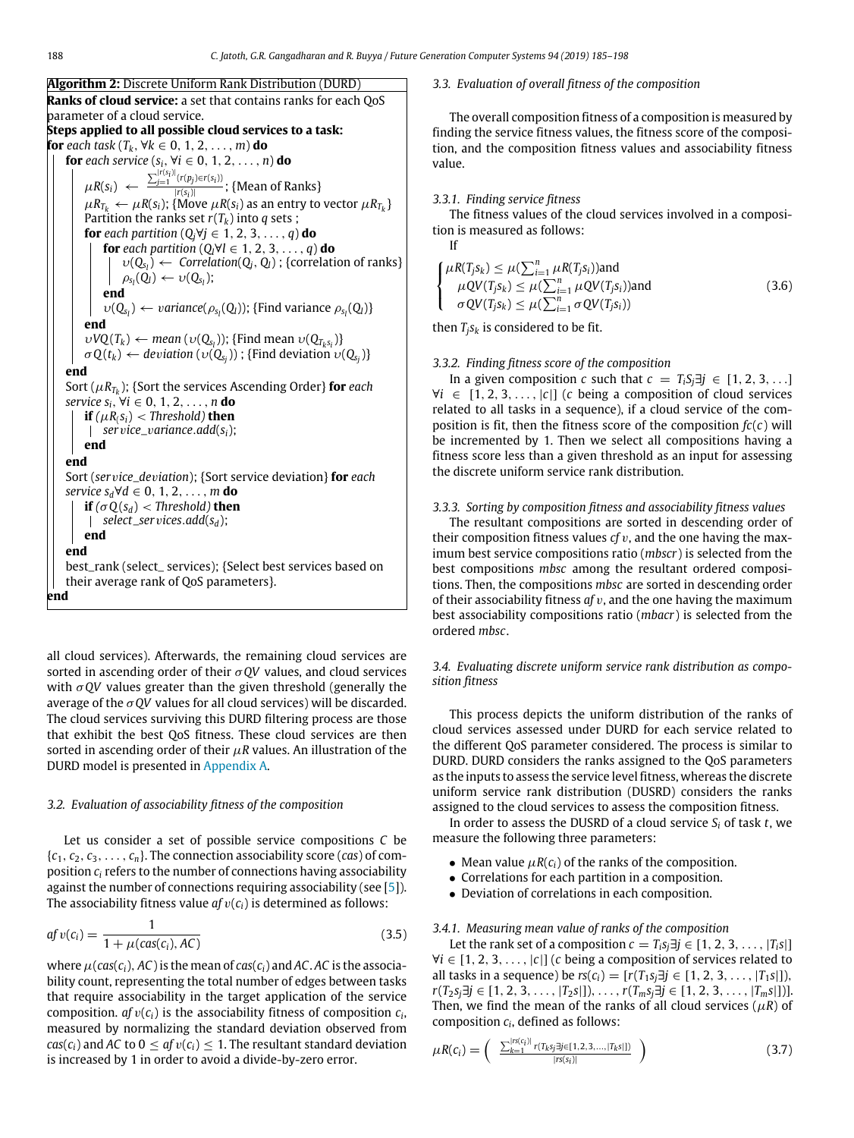<span id="page-3-2"></span>

| <b>Algorithm 2:</b> Discrete Uniform Rank Distribution (DURD)                                       |
|-----------------------------------------------------------------------------------------------------|
| <b>Ranks of cloud service:</b> a set that contains ranks for each QoS                               |
| parameter of a cloud service.                                                                       |
| Steps applied to all possible cloud services to a task:                                             |
| for each task $(T_k, \forall k \in 0, 1, 2, , m)$ do                                                |
| for each service $(s_i, \forall i \in 0, 1, 2, , n)$ do                                             |
| $\mu R(s_i) \leftarrow \frac{\sum_{j=1}^{ r(s_i) }(r(p_j) \in r(s_i))}{ r(s_i) }$ ; {Mean of Ranks} |
| $\mu R_{T_k} \leftarrow \mu R(s_i)$ ; {Move $\mu R(s_i)$ as an entry to vector $\mu R_{T_k}$ }      |
| Partition the ranks set $r(T_k)$ into q sets;                                                       |
| <b>for</b> each partition $(Q_i \forall j \in 1, 2, 3, , q)$ <b>do</b>                              |
| <b>for</b> each partition $(Q_l \forall l \in 1, 2, 3, , q)$ <b>do</b>                              |
| $v(Q_{s_1}) \leftarrow \text{Correlation}(Q_i, Q_l)$ ; {correlation of ranks}                       |
| $\rho_{s_l}(Q_l) \leftarrow \nu(Q_{s_l});$                                                          |
| end                                                                                                 |
| $v(Q_{s_1}) \leftarrow variance(\rho_{s_1}(Q_I));$ {Find variance $\rho_{s_1}(Q_I)$ }               |
| end                                                                                                 |
| $vVQ(T_k) \leftarrow \text{mean}(v(Q_{s_i}))$ ; {Find mean $v(Q_{T_k s_i})$ }                       |
| $\sigma Q(t_k) \leftarrow deviation(v(Q_{s_i}))$ ; {Find deviation $v(Q_{s_i})$ }                   |
| end                                                                                                 |
| Sort ( $\mu R_{T_k}$ ); {Sort the services Ascending Order} for each                                |
| service $s_i$ , $\forall i \in 0, 1, 2, \ldots, n$ do                                               |
| <b>if</b> $(\mu R_i s_i)$ < Threshold) <b>then</b>                                                  |
| service_variance.add( $s_i$ );                                                                      |
| end                                                                                                 |
| end                                                                                                 |
| Sort (service_deviation); {Sort service deviation} <b>for</b> each                                  |
| service $s_d \forall d \in 0, 1, 2, \ldots, m$ do                                                   |
| <b>if</b> ( $\sigma$ O( $s_d$ ) < Threshold) <b>then</b><br>select_ser vices.add( $s_d$ );          |
| end                                                                                                 |
| end                                                                                                 |
| best_rank (select_ services); {Select best services based on                                        |
| their average rank of QoS parameters}.                                                              |
| end                                                                                                 |
|                                                                                                     |

all cloud services). Afterwards, the remaining cloud services are sorted in ascending order of their σ*QV* values, and cloud services with  $\sigma QV$  values greater than the given threshold (generally the average of the  $\sigma$  QV values for all cloud services) will be discarded. The cloud services surviving this DURD filtering process are those that exhibit the best QoS fitness. These cloud services are then sorted in ascending order of their  $\mu$ R values. An illustration of the DURD model is presented in [Appendix](#page-8-1) [A](#page-8-1).

## *3.2. Evaluation of associability fitness of the composition*

<span id="page-3-0"></span>Let us consider a set of possible service compositions *C* be  ${c_1, c_2, c_3, \ldots, c_n}$ . The connection associability score (*cas*) of composition *c<sup>i</sup>* refers to the number of connections having associability against the number of connections requiring associability (see [[5\]](#page-12-4)). The associability fitness value  $af v(c_i)$  is determined as follows:

$$
afv(c_i) = \frac{1}{1 + \mu(cas(c_i), AC)}
$$
\n(3.5)

where  $\mu(\text{cas}(c_i), AC)$  is the mean of  $\text{cas}(c_i)$  and AC. AC is the associability count, representing the total number of edges between tasks that require associability in the target application of the service composition.  $afv(c_i)$  is the associability fitness of composition  $c_i$ , measured by normalizing the standard deviation observed from  $cas(c_i)$  and *AC* to  $0 \leq af v(c_i) \leq 1$ . The resultant standard deviation is increased by 1 in order to avoid a divide-by-zero error.

### *3.3. Evaluation of overall fitness of the composition*

<span id="page-3-1"></span>The overall composition fitness of a composition is measured by finding the service fitness values, the fitness score of the composition, and the composition fitness values and associability fitness value.

## *3.3.1. Finding service fitness*

If

The fitness values of the cloud services involved in a composition is measured as follows:

$$
\begin{cases}\n\mu R(T_j s_k) \leq \mu(\sum_{i=1}^n \mu R(T_j s_i)) \text{and} \\
\mu Q V(T_j s_k) \leq \mu(\sum_{i=1}^n \mu Q V(T_j s_i)) \text{and} \\
\sigma Q V(T_j s_k) \leq \mu(\sum_{i=1}^n \sigma Q V(T_j s_i))\n\end{cases}
$$
\n(3.6)

then  $T_j s_k$  is considered to be fit.

## *3.3.2. Finding fitness score of the composition*

In a given composition *c* such that  $c = T_i S_i \exists j \in [1, 2, 3, \ldots]$ ∀*i* ∈ [1, 2, 3, . . . , |*c*|] (*c* being a composition of cloud services related to all tasks in a sequence), if a cloud service of the composition is fit, then the fitness score of the composition  $fc(c)$  will be incremented by 1. Then we select all compositions having a fitness score less than a given threshold as an input for assessing the discrete uniform service rank distribution.

# *3.3.3. Sorting by composition fitness and associability fitness values*

The resultant compositions are sorted in descending order of their composition fitness values  $cf v$ , and the one having the maximum best service compositions ratio (*mbscr*) is selected from the best compositions *mbsc* among the resultant ordered compositions. Then, the compositions *mbsc* are sorted in descending order of their associability fitness *af* v, and the one having the maximum best associability compositions ratio (*mbacr*) is selected from the ordered *mbsc*.

*3.4. Evaluating discrete uniform service rank distribution as composition fitness*

<span id="page-3-3"></span>This process depicts the uniform distribution of the ranks of cloud services assessed under DURD for each service related to the different QoS parameter considered. The process is similar to DURD. DURD considers the ranks assigned to the QoS parameters as the inputs to assess the service level fitness, whereas the discrete uniform service rank distribution (DUSRD) considers the ranks assigned to the cloud services to assess the composition fitness.

In order to assess the DUSRD of a cloud service *S<sup>i</sup>* of task *t*, we measure the following three parameters:

- Mean value  $\mu R(c_i)$  of the ranks of the composition.
- Correlations for each partition in a composition.
- Deviation of correlations in each composition.

*3.4.1. Measuring mean value of ranks of the composition*

Let the rank set of a composition  $c = T_i s_j \exists j \in [1, 2, 3, \ldots, |T_i s|]$ ∀*i* ∈ [1, 2, 3, . . . , |*c*|] (*c* being a composition of services related to all tasks in a sequence) be *rs*(*c*<sub>*i*</sub>) = [*r*(*T*<sub>1</sub>*s*<sub>*j*</sub>∃*j* ∈ [1, 2, 3, . . . , |*T*<sub>1</sub>*s*|]), *r*(*T*<sub>2</sub>*s*<sub>j</sub>∃*j* ∈ [1, 2, 3, . . . , |*T*<sub>2</sub>*s*|]), . . . , *r*(*T*<sub>*m*</sub>*s*<sub>j</sub>∃*j* ∈ [1, 2, 3, . . . , |*T*<sub>*m</sub>s*|])].</sub> Then, we find the mean of the ranks of all cloud services ( $\mu$ *R*) of composition  $c_i$ , defined as follows:

$$
\mu R(c_i) = \begin{pmatrix} \frac{\sum_{k=1}^{|\tau s(c_i)|} r(T_k s_j \exists j \in [1, 2, 3, ..., |T_k s|])}{|\tau s(s_i)|} \end{pmatrix}
$$
 (3.7)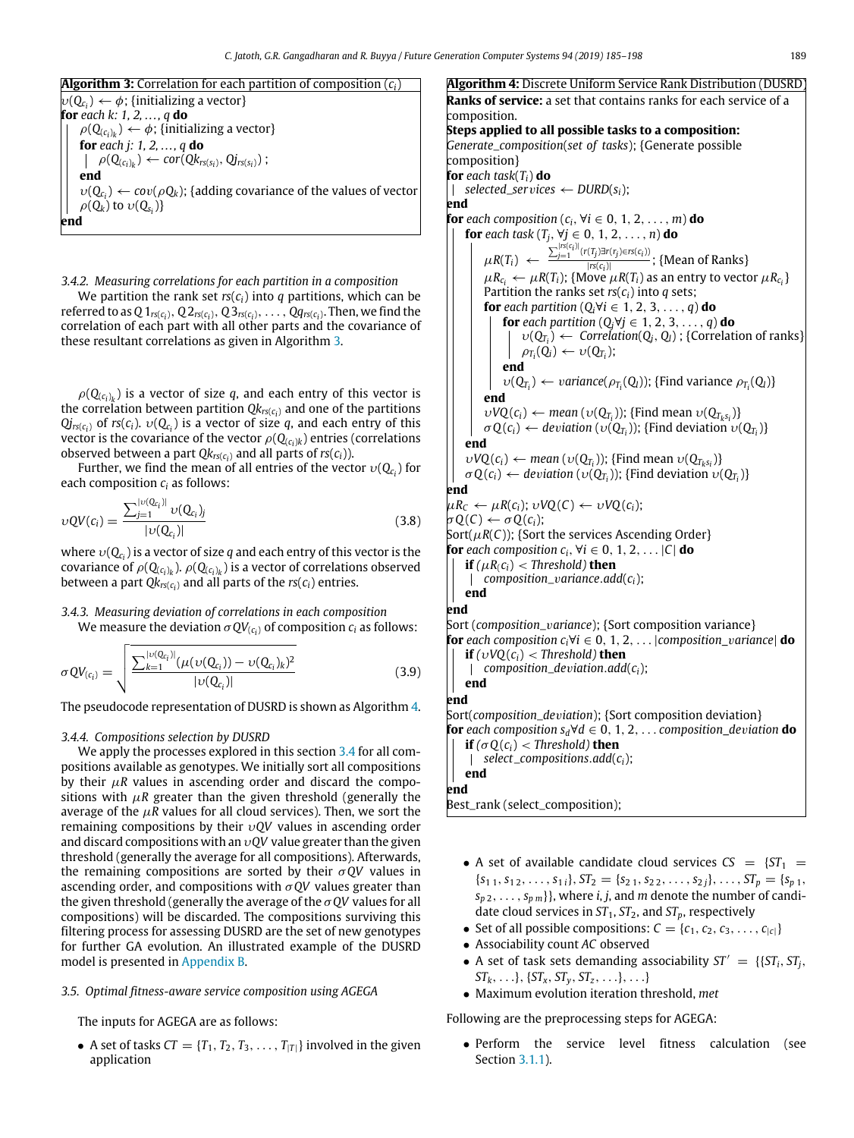# **Algorithm 3:** Correlation for each partition of composition (*ci*)

<span id="page-4-0"></span> $\psi(\mathrm{Q}_{c_i}) \leftarrow \phi$ ; {initializing a vector} **for** *each k: 1, 2, . . . , q* **do**  $\rho(\mathsf{Q}_{\left(c_{i}\right)_{k}})\leftarrow\phi;$  {initializing a vector} **for** *each j: 1, 2, . . . , q* **do**  $\rho(Q_{(c_i)_k}) \leftarrow cor(Qk_{rs(s_i)}, Qj_{rs(s_i)})$ ; **end**  $v(Q_{c_i}) \leftarrow cov(\rho Q_k)$ ; {adding covariance of the values of vector  $\rho(Q_k)$  to  $\nu(Q_{s_i})\}$ **end**

*3.4.2. Measuring correlations for each partition in a composition*

We partition the rank set  $rs(c_i)$  into *q* partitions, which can be referred to as  $Q1_{rs(c_i)},$   $Q2_{rs(c_i)},$   $Q3_{rs(c_i)},$   $\ldots$  ,  $Qq_{rs(c_i)}.$  Then, we find the correlation of each part with all other parts and the covariance of these resultant correlations as given in Algorithm [3.](#page-4-0)

 $\rho(Q_{(c_i)_k})$  is a vector of size  $q$ , and each entry of this vector is the correlation between partition *Qkrs*(*c<sup>i</sup>* ) and one of the partitions  $Qj_{rs(c_i)}$  of *rs*( $c_i$ ).  $v(Q_{c_i})$  is a vector of size  $q$ , and each entry of this vector is the covariance of the vector  $\rho(\mathbf{Q}_{(c_i)k})$  entries (correlations observed between a part  $Qk_{rs(c_i)}$  and all parts of  $rs(c_i)$ ).

Further, we find the mean of all entries of the vector  $\upsilon(\mathbf{Q}_{c_i})$  for each composition *c<sup>i</sup>* as follows:

$$
\nu QV(c_i) = \frac{\sum_{j=1}^{\lfloor \nu(Q_{C_i}) \rfloor} \nu(Q_{c_i})_j}{\lvert \nu(Q_{C_i}) \rvert} \tag{3.8}
$$

where  $\upsilon(Q_{c_i})$  is a vector of size  $q$  and each entry of this vector is the covariance of  $\rho(\mathbf{Q}_{(c_i)_k}).\, \rho(\mathbf{Q}_{(c_i)_k})$  is a vector of correlations observed between a part  $Qk_{\mathsf{rs}(c_i)}$  and all parts of the  $\mathsf{rs}(c_i)$  entries.

# *3.4.3. Measuring deviation of correlations in each composition*

We measure the deviation  $\sigma QV_{(c_i)}$  of composition  $c_i$  as follows:

$$
\sigma QV_{(c_i)} = \sqrt{\frac{\sum_{k=1}^{|v(Q_{c_i})|} (\mu(v(Q_{c_i})) - v(Q_{c_i})_k)^2}{|v(Q_{c_i})|}}
$$
(3.9)

The pseudocode representation of DUSRD is shown as Algorithm [4.](#page-4-1)

## *3.4.4. Compositions selection by DUSRD*

<span id="page-4-2"></span>We apply the processes explored in this section [3.4](#page-3-3) for all compositions available as genotypes. We initially sort all compositions by their  $\mu$ *R* values in ascending order and discard the compositions with  $\mu$ *R* greater than the given threshold (generally the average of the  $\mu$ R values for all cloud services). Then, we sort the remaining compositions by their υ*QV* values in ascending order and discard compositions with an υ*QV* value greater than the given threshold (generally the average for all compositions). Afterwards, the remaining compositions are sorted by their σ*QV* values in ascending order, and compositions with σ*QV* values greater than the given threshold (generally the average of the σ*QV* values for all compositions) will be discarded. The compositions surviving this filtering process for assessing DUSRD are the set of new genotypes for further GA evolution. An illustrated example of the DUSRD model is presented in [Appendix](#page-12-35) [B.](#page-12-35)

# *3.5. Optimal fitness-aware service composition using AGEGA*

The inputs for AGEGA are as follows:

• A set of tasks  $CT = \{T_1, T_2, T_3, \ldots, T_{|T|}\}$  involved in the given application

<span id="page-4-1"></span>**Algorithm 4:** Discrete Uniform Service Rank Distribution (DUSRD) **Ranks of service:** a set that contains ranks for each service of a composition. **Steps applied to all possible tasks to a composition:** *Generate*\_*composition*(*set of tasks*); {Generate possible composition} **for** *each task*(*Ti*) **do**  $\vert$  *selected\_services*  $\leftarrow$  *DURD*(*s<sub>i</sub>*); **end for** *each composition*  $(c_i, \forall i \in 0, 1, 2, \ldots, m)$  **do for** *each task* ( $T_j$ ,  $\forall j \in 0, 1, 2, \ldots, n$ ) **do**  $\mu R(T_i) \leftarrow \frac{\sum_{j=1}^{|rs(c_i)|} (r(T_j) \exists r(r_j) \in rs(c_i))}{\left| rs(c_i) \right|}$  $\frac{\binom{n}{f} \binom{n}{f}}{\left| \frac{r}{f(s(i))} \right|}$ ; {Mean of Ranks}  $\mu R_{c_i} \leftarrow \mu R(T_i)$ ; {Move  $\mu R(T_i)$  as an entry to vector  $\mu R_{c_i}$ } Partition the ranks set *rs*(*ci*) into *q* sets; **for** *each partition*  $(Q_i \forall i \in 1, 2, 3, \ldots, q)$  **do for** *each partition*  $(Q_i \forall j \in 1, 2, 3, \ldots, q)$  **do**  $v(Q_{T_i}) \leftarrow \text{Correlation}(Q_j, Q_l)$ ; {Correlation of ranks}  $\rho_{T_i}(Q_i) \leftarrow \nu(Q_{T_i});$ **end**  $v(Q_{T_i}) \leftarrow \text{variance}(\rho_{T_i}(Q_l));$  {Find variance  $\rho_{T_i}(Q_l)$ } **end**  $vVQ(c_i) \leftarrow \text{mean}(v(Q_{T_i}))$ ; {Find mean  $v(Q_{T_k s_i})$ }  $\sigma Q(c_i) \leftarrow deviation(v(Q_{T_i}))$ ; {Find deviation  $v(Q_{T_i})$ } **end**  $vVQ(c_i) \leftarrow \text{mean}(v(Q_{T_i}))$ ; {Find mean  $v(Q_{T_k s_i})$ }  $\sigma Q(c_i) \leftarrow deviation(v(Q_{T_i}))$ ; {Find deviation  $v(Q_{T_i})$ } **end**  $\mu R_C \leftarrow \mu R(c_i); \quad \nu VQ(C) \leftarrow \nu VQ(c_i);$  $\sigma Q(C) \leftarrow \sigma Q(c_i);$ Sort( $\mu$ *R*(*C*)); {Sort the services Ascending Order} **for** *each composition*  $c_i$ ,  $\forall i \in \{0, 1, 2, \ldots | C | \textbf{do} \}$ **if**  $(\mu R_i c_i) <$  *Threshold*) **then**  $\perp$ *composition*\_v*ariance*.*add*(*ci*); **end end** Sort (*composition*\_v*ariance*); {Sort composition variance} **for** *each composition ci*∀*i* ∈ 0, 1, 2, . . . |*composition\_*v*ariance*| **do** *if*  $(\nu \text{VQ}(c_i) <$  *Threshold*) **then** *composition*\_*de*v*iation*.*add*(*ci*);  $\overline{1}$ **end end** Sort(*composition*\_*de*v*iation*); {Sort composition deviation} **for** *each composition sd*∀*d* ∈ 0, 1, 2, . . . *composition\_de*v*iation* **do** *if*  $(σO(c_i) <$  *Threshold*) **then** *select*\_*compositions*.*add*(*ci*);  $\overline{1}$ **end end** Best\_rank (select\_composition);

- A set of available candidate cloud services  $CS = \{ST_1 =$  $\{s_{1 1}, s_{1 2}, \ldots, s_{1 i}\}, \, \mathfrak{S} \mathfrak{I}_{2} = \{s_{2 1}, s_{2 2}, \ldots, s_{2 j}\}, \ldots, \mathfrak{S} \mathfrak{I}_{p} = \{s_{p 1}, \ldots, s_{p 2 j}\}$  $s_{p_2}, \ldots, s_{p_m}$ }, where *i*, *j*, and *m* denote the number of candidate cloud services in  $ST_1$ ,  $ST_2$ , and  $ST_p$ , respectively
- Set of all possible compositions:  $C = \{c_1, c_2, c_3, \ldots, c_{|c|}\}$
- Associability count *AC* observed
- A set of task sets demanding associability  $ST' = \{ \{ ST_i, ST_i, \}$  $ST_k, \ldots, \{ST_x, ST_y, ST_z, \ldots\}, \ldots$
- Maximum evolution iteration threshold, *met*

Following are the preprocessing steps for AGEGA:

• Perform the service level fitness calculation (see Section [3.1.1](#page-2-1)).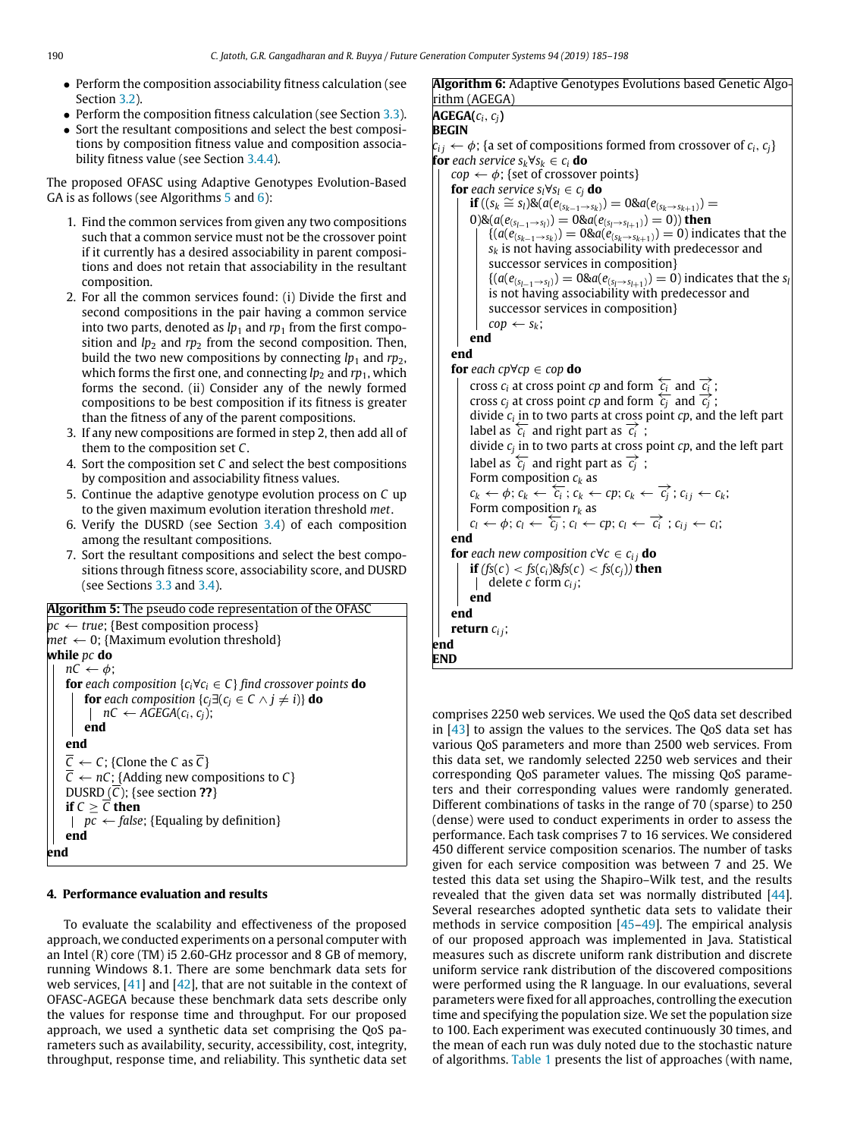**END**

- Perform the composition associability fitness calculation (see Section [3.2\)](#page-3-0).
- Perform the composition fitness calculation (see Section [3.3\)](#page-3-1).
- Sort the resultant compositions and select the best compositions by composition fitness value and composition associability fitness value (see Section [3.4.4\)](#page-4-2).

The proposed OFASC using Adaptive Genotypes Evolution-Based GA is as follows (see Algorithms [5](#page-5-1) and [6\)](#page-5-2):

- 1. Find the common services from given any two compositions such that a common service must not be the crossover point if it currently has a desired associability in parent compositions and does not retain that associability in the resultant composition.
- 2. For all the common services found: (i) Divide the first and second compositions in the pair having a common service into two parts, denoted as  $lp_1$  and  $rp_1$  from the first composition and  $lp_2$  and  $rp_2$  from the second composition. Then, build the two new compositions by connecting *lp*<sup>1</sup> and *rp*2, which forms the first one, and connecting  $lp_2$  and  $rp_1$ , which forms the second. (ii) Consider any of the newly formed compositions to be best composition if its fitness is greater than the fitness of any of the parent compositions.
- 3. If any new compositions are formed in step 2, then add all of them to the composition set *C*.
- 4. Sort the composition set *C* and select the best compositions by composition and associability fitness values.
- 5. Continue the adaptive genotype evolution process on *C* up to the given maximum evolution iteration threshold *met*.
- 6. Verify the DUSRD (see Section [3.4\)](#page-3-3) of each composition among the resultant compositions.
- 7. Sort the resultant compositions and select the best compositions through fitness score, associability score, and DUSRD (see Sections [3.3](#page-3-1) and [3.4\)](#page-3-3).

```
Algorithm 5: The pseudo code representation of the OFASC
pc \leftarrow true; {Best composition process}
met \leftarrow 0; {Maximum evolution threshold}
while pc do
    nC \leftarrow \phi;
    for each composition \{c_i \forall c_i \in C\} find crossover points do
        for each composition \{c_j \exists (c_j \in C \land j \neq i)\} do
         |nC ← AGEGA(c_i, c_j);
        end
    end
    \overline{C} \leftarrow C; {Clone the C as \overline{C}}
    \overline{C} \leftarrow nC; {Adding new compositions to C }
    DUSRD (\overline{C}); {see section ??}
    if C \geq \overline{C} then
     | pc \leftarrow false; {Equaling by definition}
    end
end
```
## **4. Performance evaluation and results**

<span id="page-5-0"></span>To evaluate the scalability and effectiveness of the proposed approach, we conducted experiments on a personal computer with an Intel (R) core (TM) i5 2.60-GHz processor and 8 GB of memory, running Windows 8.1. There are some benchmark data sets for web services,  $[41]$  and  $[42]$  $[42]$  $[42]$ , that are not suitable in the context of OFASC-AGEGA because these benchmark data sets describe only the values for response time and throughput. For our proposed approach, we used a synthetic data set comprising the QoS parameters such as availability, security, accessibility, cost, integrity, throughput, response time, and reliability. This synthetic data set

# <span id="page-5-2"></span>**Algorithm 6:** Adaptive Genotypes Evolutions based Genetic Algorithm (AGEGA) **AGEGA(***ci*, *cj***) BEGIN**  $c_{ij} \leftarrow \phi$ ; {a set of compositions formed from crossover of  $c_i, c_j$ } **for** *each service sk*∀*s<sup>k</sup>* ∈ *c<sup>i</sup>* **do**  $cop \leftarrow \phi$ ; {set of crossover points} **for** *each service*  $s_i \forall s_i \in c_i$  **do**  $\mathbf{if} ((s_k \cong s_l) \& (a(e_{(s_{k-1}\to s_k)}) = 0 \& a(e_{(s_k\to s_{k+1})}) = 0$  $0)$ &( $a(e_{(s_{l-1}\rightarrow s_l)}) = 0$ & $a(e_{(s_l\rightarrow s_{l+1})}) = 0)$ ) then  ${(a(e_{(s_{k-1}→s_k)}) = 0 \& a(e_{(s_k→s_{k+1})}) = 0)}$  indicates that the *s<sup>k</sup>* is not having associability with predecessor and successor services in composition}  ${(a(e_{(s_{l-1}\rightarrow s_l)}) = 0 \& a(e_{(s_l\rightarrow s_{l+1})}) = 0)}$  indicates that the *s*<sub>*l*</sub> is not having associability with predecessor and successor services in composition}  $cop \leftarrow s_k$ ; **end end for** *each*  $cp \forall cp \in cop$  **do**  $\overrightarrow{c}$  cross *c<sub>i</sub>* at cross point *cp* and form  $\overrightarrow{c_i}$  and  $\overrightarrow{c_i}$ ; cross  $c_i$  at cross point  $c_p$  and form  $\frac{c_i}{c_j}$  and  $\frac{c_i}{c_j}$ ; divide *c<sup>i</sup>* in to two parts at cross point *cp*, and the left part label as  $\overline{c_i}$  and right part as  $\overline{c_i}$ ; divide *c<sup>j</sup>* in to two parts at cross point *cp*, and the left part label as  $\overleftarrow{c_i}$  and right part as  $\overrightarrow{c_i}$ ; Form composition  $c_k$  as  $c_k \leftarrow \phi; c_k \leftarrow \overline{c_i}; c_k \leftarrow cp; c_k \leftarrow \overrightarrow{c_j}; c_{ij} \leftarrow c_k;$ Form composition *r<sup>k</sup>* as  $c_l \leftarrow \phi$ ;  $c_l \leftarrow \overleftarrow{c_j}$ ;  $c_l \leftarrow cp$ ;  $c_l \leftarrow \overrightarrow{c_i}$ ;  $c_{ij} \leftarrow c_l$ ; **end for** *each new composition*  $c \forall c \in c_{ij}$  **do if**  $(fs(c) < f s(c_i) \& f s(c) < f s(c_j))$  **then** delete *c* form *ci j*; **end end return** *ci j*; **end**

comprises 2250 web services. We used the QoS data set described in [\[43\]](#page-13-3) to assign the values to the services. The QoS data set has various QoS parameters and more than 2500 web services. From this data set, we randomly selected 2250 web services and their corresponding QoS parameter values. The missing QoS parameters and their corresponding values were randomly generated. Different combinations of tasks in the range of 70 (sparse) to 250 (dense) were used to conduct experiments in order to assess the performance. Each task comprises 7 to 16 services. We considered 450 different service composition scenarios. The number of tasks given for each service composition was between 7 and 25. We tested this data set using the Shapiro–Wilk test, and the results revealed that the given data set was normally distributed [\[44\]](#page-13-4). Several researches adopted synthetic data sets to validate their methods in service composition [\[45–](#page-13-5)[49](#page-13-6)]. The empirical analysis of our proposed approach was implemented in Java. Statistical measures such as discrete uniform rank distribution and discrete uniform service rank distribution of the discovered compositions were performed using the R language. In our evaluations, several parameters were fixed for all approaches, controlling the execution time and specifying the population size. We set the population size to 100. Each experiment was executed continuously 30 times, and the mean of each run was duly noted due to the stochastic nature of algorithms. [Table](#page-6-0) [1](#page-6-0) presents the list of approaches (with name,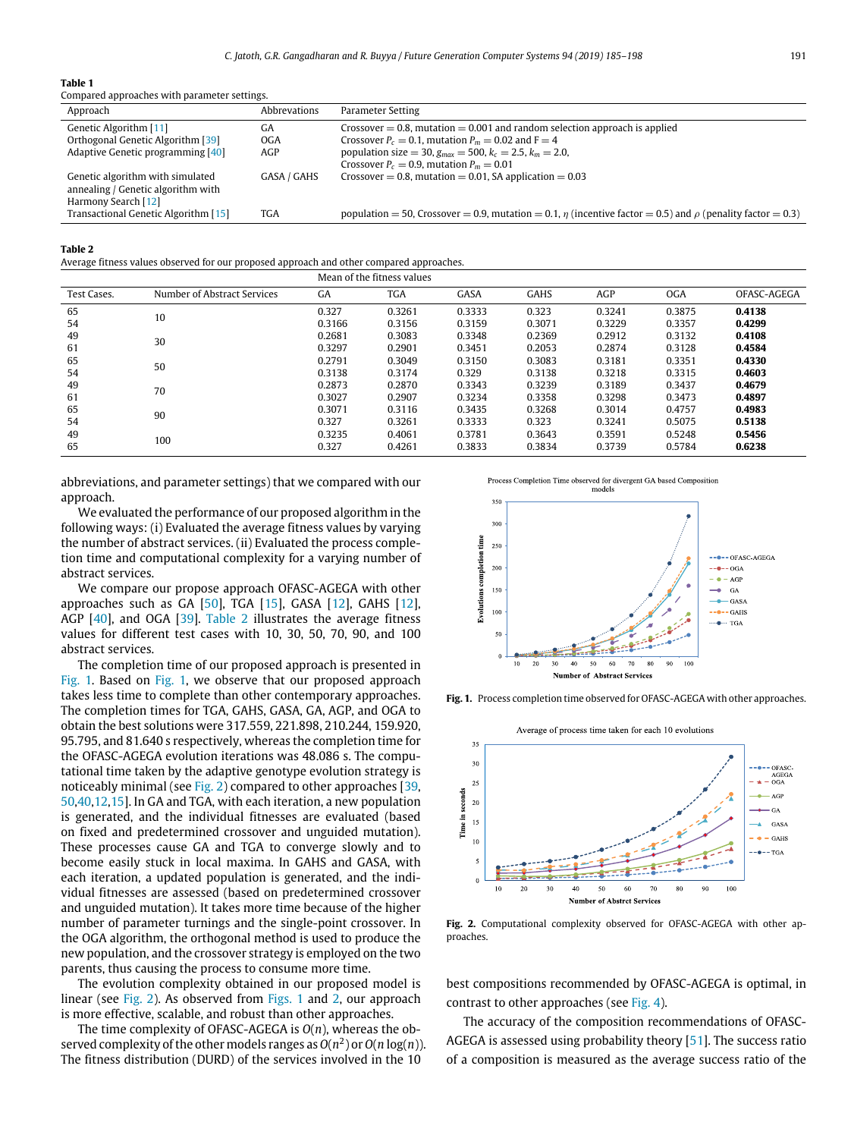## **Table 1**

<span id="page-6-0"></span>

| Compared approaches with parameter settings.                                                  |              |                                                                                                                      |
|-----------------------------------------------------------------------------------------------|--------------|----------------------------------------------------------------------------------------------------------------------|
| Approach                                                                                      | Abbrevations | Parameter Setting                                                                                                    |
| Genetic Algorithm [11]                                                                        | GА           | Crossover $= 0.8$ , mutation $= 0.001$ and random selection approach is applied                                      |
| Orthogonal Genetic Algorithm [39]                                                             | <b>OGA</b>   | Crossover $P_c = 0.1$ , mutation $P_m = 0.02$ and $F = 4$                                                            |
| Adaptive Genetic programming [40]                                                             | AGP          | population size = 30, $g_{max}$ = 500, $k_c$ = 2.5, $k_m$ = 2.0,                                                     |
|                                                                                               |              | Crossover $P_c = 0.9$ , mutation $P_m = 0.01$                                                                        |
| Genetic algorithm with simulated<br>annealing / Genetic algorithm with<br>Harmony Search [12] | GASA / GAHS  | Crossover = 0.8, mutation = $0.01$ , SA application = 0.03                                                           |
| Transactional Genetic Algorithm [15]                                                          | <b>TGA</b>   | population = 50, Crossover = 0.9, mutation = 0.1, $\eta$ (incentive factor = 0.5) and $\rho$ (penality factor = 0.3) |

**Table 2**

<span id="page-6-1"></span>Average fitness values observed for our proposed approach and other compared approaches.

|             |                             | Mean of the fitness values |            |        |             |        |            |             |  |  |
|-------------|-----------------------------|----------------------------|------------|--------|-------------|--------|------------|-------------|--|--|
| Test Cases. | Number of Abstract Services | GA                         | <b>TGA</b> | GASA   | <b>GAHS</b> | AGP    | <b>OGA</b> | OFASC-AGEGA |  |  |
| 65          | 10                          | 0.327                      | 0.3261     | 0.3333 | 0.323       | 0.3241 | 0.3875     | 0.4138      |  |  |
| 54          |                             | 0.3166                     | 0.3156     | 0.3159 | 0.3071      | 0.3229 | 0.3357     | 0.4299      |  |  |
| 49          | 30                          | 0.2681                     | 0.3083     | 0.3348 | 0.2369      | 0.2912 | 0.3132     | 0.4108      |  |  |
| 61          |                             | 0.3297                     | 0.2901     | 0.3451 | 0.2053      | 0.2874 | 0.3128     | 0.4584      |  |  |
| 65          | 50                          | 0.2791                     | 0.3049     | 0.3150 | 0.3083      | 0.3181 | 0.3351     | 0.4330      |  |  |
| 54          |                             | 0.3138                     | 0.3174     | 0.329  | 0.3138      | 0.3218 | 0.3315     | 0.4603      |  |  |
| 49          | 70                          | 0.2873                     | 0.2870     | 0.3343 | 0.3239      | 0.3189 | 0.3437     | 0.4679      |  |  |
| 61          |                             | 0.3027                     | 0.2907     | 0.3234 | 0.3358      | 0.3298 | 0.3473     | 0.4897      |  |  |
| 65          | 90                          | 0.3071                     | 0.3116     | 0.3435 | 0.3268      | 0.3014 | 0.4757     | 0.4983      |  |  |
| 54          |                             | 0.327                      | 0.3261     | 0.3333 | 0.323       | 0.3241 | 0.5075     | 0.5138      |  |  |
| 49          | 100                         | 0.3235                     | 0.4061     | 0.3781 | 0.3643      | 0.3591 | 0.5248     | 0.5456      |  |  |
| 65          |                             | 0.327                      | 0.4261     | 0.3833 | 0.3834      | 0.3739 | 0.5784     | 0.6238      |  |  |

abbreviations, and parameter settings) that we compared with our approach.

We evaluated the performance of our proposed algorithm in the following ways: (i) Evaluated the average fitness values by varying the number of abstract services. (ii) Evaluated the process completion time and computational complexity for a varying number of abstract services.

We compare our propose approach OFASC-AGEGA with other approaches such as GA [[50](#page-13-7)], TGA [\[15](#page-12-12)], GASA [\[12\]](#page-12-9), GAHS [\[12\]](#page-12-9), AGP [\[40\]](#page-12-39), and OGA [[39](#page-12-38)]. [Table](#page-6-1) [2](#page-6-1) illustrates the average fitness values for different test cases with 10, 30, 50, 70, 90, and 100 abstract services.

The completion time of our proposed approach is presented in [Fig.](#page-6-2) [1.](#page-6-2) Based on [Fig.](#page-6-2) [1,](#page-6-2) we observe that our proposed approach takes less time to complete than other contemporary approaches. The completion times for TGA, GAHS, GASA, GA, AGP, and OGA to obtain the best solutions were 317.559, 221.898, 210.244, 159.920, 95.795, and 81.640 s respectively, whereas the completion time for the OFASC-AGEGA evolution iterations was 48.086 s. The computational time taken by the adaptive genotype evolution strategy is noticeably minimal (see [Fig.](#page-6-3) [2\)](#page-6-3) compared to other approaches [\[39,](#page-12-38) [50](#page-13-7)[,40,](#page-12-39)[12](#page-12-9)[,15\]](#page-12-12). In GA and TGA, with each iteration, a new population is generated, and the individual fitnesses are evaluated (based on fixed and predetermined crossover and unguided mutation). These processes cause GA and TGA to converge slowly and to become easily stuck in local maxima. In GAHS and GASA, with each iteration, a updated population is generated, and the individual fitnesses are assessed (based on predetermined crossover and unguided mutation). It takes more time because of the higher number of parameter turnings and the single-point crossover. In the OGA algorithm, the orthogonal method is used to produce the new population, and the crossover strategy is employed on the two parents, thus causing the process to consume more time.

The evolution complexity obtained in our proposed model is linear (see [Fig.](#page-6-3) [2](#page-6-3)). As observed from [Figs.](#page-6-2) [1](#page-6-2) and [2,](#page-6-3) our approach is more effective, scalable, and robust than other approaches.

The time complexity of OFASC-AGEGA is *O*(*n*), whereas the observed complexity of the other models ranges as  $O(n^2)$  or  $O(n\log(n))$ . The fitness distribution (DURD) of the services involved in the 10

models 350  $30<sup>°</sup>$ **Evolutions** completion time 250 - OFASC-AGEG/  $20<sup>c</sup>$  $--**0**--**OGA**$  $= 4 - \lambda$ CD 150  $\rightarrow$  GA  $-GASA$  $10<sub>0</sub>$  $--<sub>•</sub> -<sub>0</sub> +<sub>0</sub>$  $\cdots$  TGA 80 90 ber of Abstract Services

Process Completion Time observed for divergent GA based Composition

<span id="page-6-2"></span>**Fig. 1.** Process completion time observed for OFASC-AGEGA with other approaches.



<span id="page-6-3"></span>**Fig. 2.** Computational complexity observed for OFASC-AGEGA with other approaches.

best compositions recommended by OFASC-AGEGA is optimal, in contrast to other approaches (see [Fig.](#page-7-0) [4\)](#page-7-0).

The accuracy of the composition recommendations of OFASC-AGEGA is assessed using probability theory [\[51\]](#page-13-8). The success ratio of a composition is measured as the average success ratio of the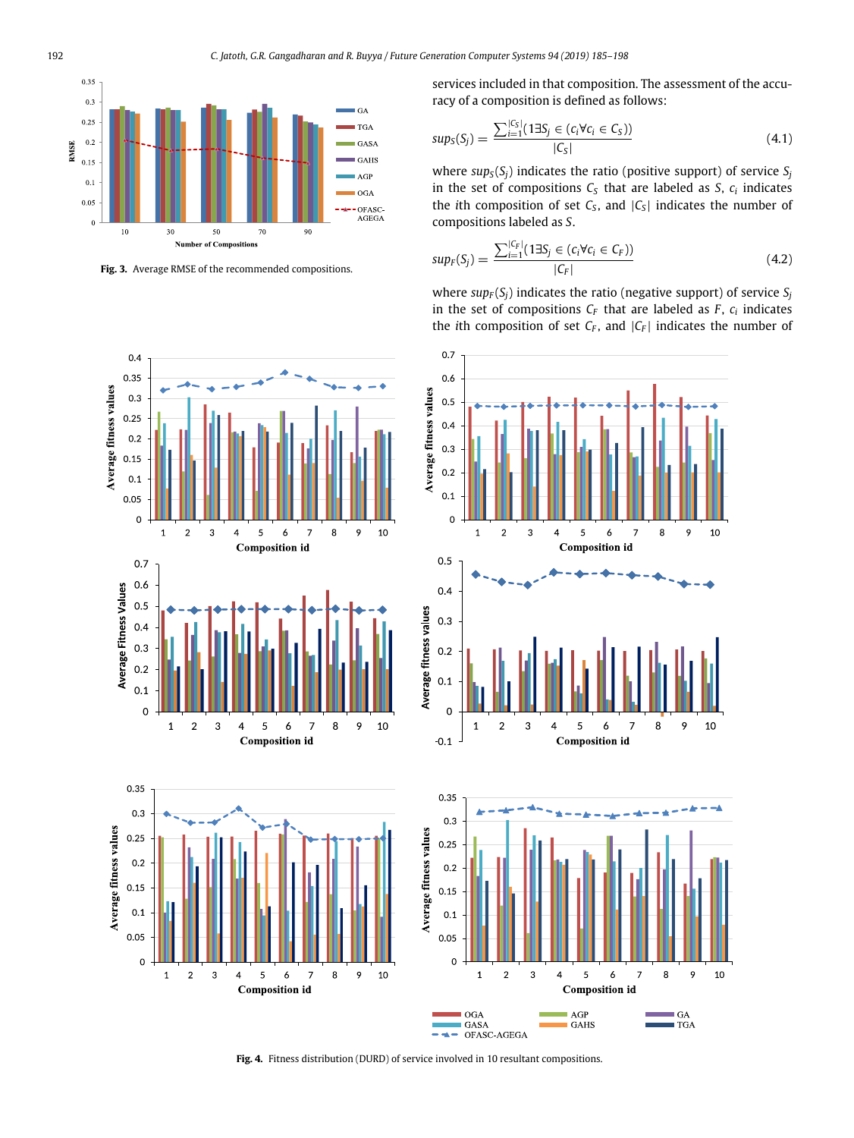

<span id="page-7-1"></span>**Fig. 3.** Average RMSE of the recommended compositions.



**Composition id** 

<span id="page-7-0"></span> $\mathbf{o}$ 

 $\overline{a}$  $\overline{3}$  $\overline{4}$ 5  $\epsilon$  $\overline{7}$ 8  $\overline{9}$ 10

 $\mathbf 1$ 

services included in that composition. The assessment of the accuracy of a composition is defined as follows:

$$
sup_{S}(S_{j}) = \frac{\sum_{i=1}^{|C_{S}|} (1 \exists S_{j} \in (c_{i} \forall c_{i} \in C_{S}))}{|C_{S}|}
$$
(4.1)

where  $sup_S(S_i)$  indicates the ratio (positive support) of service  $S_i$ in the set of compositions  $C<sub>S</sub>$  that are labeled as *S*,  $c<sub>i</sub>$  indicates the *i*th composition of set  $C_S$ , and  $|C_S|$  indicates the number of compositions labeled as *S*.

$$
sup_F(S_j) = \frac{\sum_{i=1}^{|C_F|} (1 \exists S_j \in (c_i \forall c_i \in C_F))}{|C_F|}
$$
(4.2)

where  $sup_F(S_i)$  indicates the ratio (negative support) of service  $S_i$ in the set of compositions  $C_F$  that are labeled as  $F$ ,  $c_i$  indicates the *i*th composition of set *C<sup>F</sup>* , and |*C<sup>F</sup>* | indicates the number of





**Fig. 4.** Fitness distribution (DURD) of service involved in 10 resultant compositions.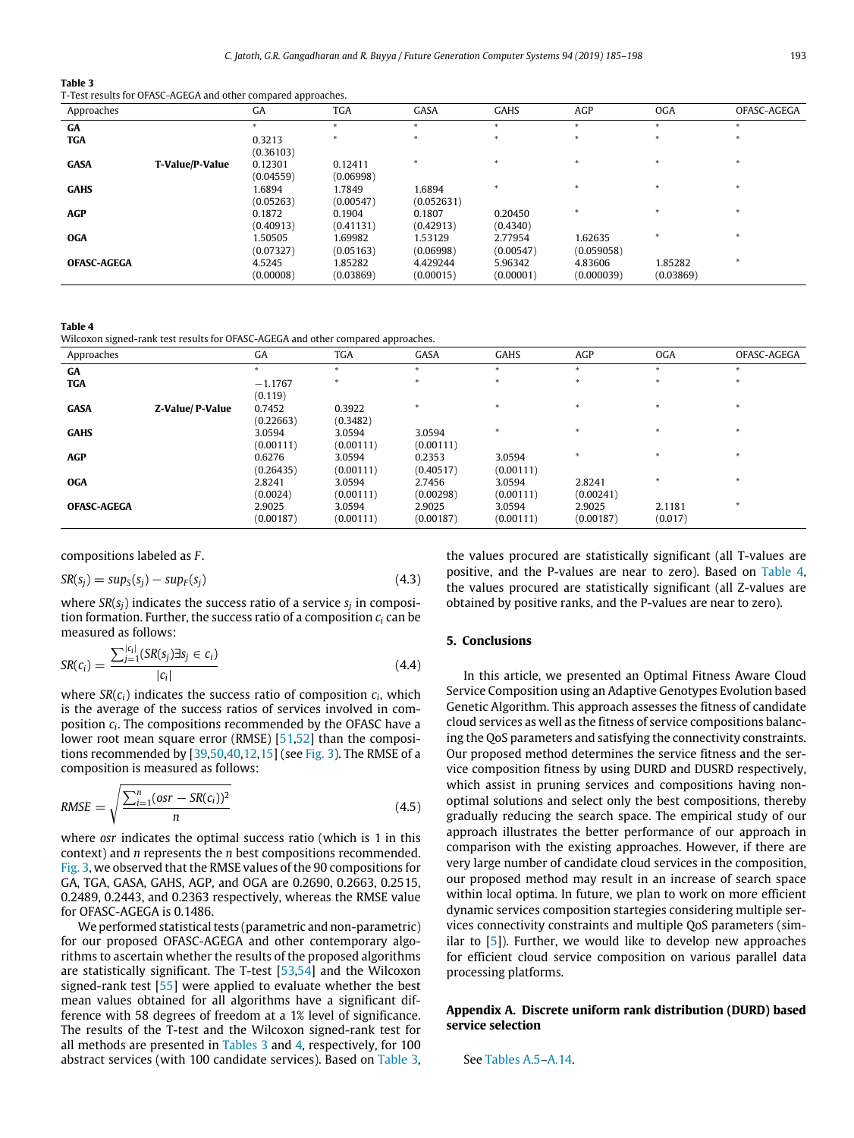## **Table 3**

<span id="page-8-2"></span>T-Test results for OFASC-AGEGA and other compared approaches.

| Approaches         |                 | GA                   | <b>TGA</b>           | GASA                  | GAHS                 | AGP                   | <b>OGA</b>           | OFASC-AGEGA |
|--------------------|-----------------|----------------------|----------------------|-----------------------|----------------------|-----------------------|----------------------|-------------|
| GA                 |                 |                      |                      | sk.                   |                      | $\ast$                | ж                    |             |
| <b>TGA</b>         |                 | 0.3213<br>(0.36103)  |                      |                       |                      |                       |                      |             |
| <b>GASA</b>        | T-Value/P-Value | 0.12301<br>(0.04559) | 0.12411<br>(0.06998) | sk.                   |                      |                       |                      |             |
| <b>GAHS</b>        |                 | 1.6894<br>(0.05263)  | 1.7849<br>(0.00547)  | 1.6894<br>(0.052631)  |                      |                       |                      |             |
| <b>AGP</b>         |                 | 0.1872<br>(0.40913)  | 0.1904<br>(0.41131)  | 0.1807<br>(0.42913)   | 0.20450<br>(0.4340)  |                       |                      |             |
| <b>OGA</b>         |                 | 1.50505<br>(0.07327) | 1.69982<br>(0.05163) | 1.53129<br>(0.06998)  | 2.77954<br>(0.00547) | 1.62635<br>(0.059058) |                      |             |
| <b>OFASC-AGEGA</b> |                 | 4.5245<br>(0.00008)  | 1.85282<br>(0.03869) | 4.429244<br>(0.00015) | 5.96342<br>(0.00001) | 4.83606<br>(0.000039) | 1.85282<br>(0.03869) |             |

**Table 4**

<span id="page-8-3"></span>Wilcoxon signed-rank test results for OFASC-AGEGA and other compared approaches.

| Approaches         |                  | GA        | <b>TGA</b>   | GASA      | <b>GAHS</b> | AGP          | <b>OGA</b> | OFASC-AGEGA |
|--------------------|------------------|-----------|--------------|-----------|-------------|--------------|------------|-------------|
| GA                 |                  |           |              |           | $\ast$      | $\mathbf{r}$ | $\star$    |             |
| <b>TGA</b>         |                  | $-1.1767$ | <b>Skitt</b> |           |             |              |            |             |
|                    |                  | (0.119)   |              |           |             |              |            |             |
| <b>GASA</b>        | Z-Value/ P-Value | 0.7452    | 0.3922       |           |             |              |            |             |
|                    |                  | (0.22663) | (0.3482)     |           |             |              |            |             |
| <b>GAHS</b>        |                  | 3.0594    | 3.0594       | 3.0594    |             |              |            |             |
|                    |                  | (0.00111) | (0.00111)    | (0.00111) |             |              |            |             |
| AGP                |                  | 0.6276    | 3.0594       | 0.2353    | 3.0594      |              |            |             |
|                    |                  | (0.26435) | (0.00111)    | (0.40517) | (0.00111)   |              |            |             |
| <b>OGA</b>         |                  | 2.8241    | 3.0594       | 2.7456    | 3.0594      | 2.8241       |            |             |
|                    |                  | (0.0024)  | (0.00111)    | (0.00298) | (0.00111)   | (0.00241)    |            |             |
| <b>OFASC-AGEGA</b> |                  | 2.9025    | 3.0594       | 2.9025    | 3.0594      | 2.9025       | 2.1181     |             |
|                    |                  | (0.00187) | (0.00111)    | (0.00187) | (0.00111)   | (0.00187)    | (0.017)    |             |

compositions labeled as *F* .

$$
SR(s_j) = \sup(s_j) - \sup(\{s_j\})
$$
\n(4.3)

where *SR*(*sj*) indicates the success ratio of a service *s<sup>j</sup>* in composition formation. Further, the success ratio of a composition *c<sup>i</sup>* can be measured as follows:

$$
SR(c_i) = \frac{\sum_{j=1}^{|c_i|} (SR(s_j) \exists s_j \in c_i)}{|c_i|}
$$
\n(4.4)

where *SR*(*ci*) indicates the success ratio of composition *c<sup>i</sup>* , which is the average of the success ratios of services involved in composition *c<sup>i</sup>* . The compositions recommended by the OFASC have a lower root mean square error (RMSE) [\[51,](#page-13-8)[52](#page-13-9)] than the compositions recommended by  $[39,50,40,12,15]$  $[39,50,40,12,15]$  $[39,50,40,12,15]$  $[39,50,40,12,15]$  $[39,50,40,12,15]$  (see [Fig.](#page-7-1) [3](#page-7-1)). The RMSE of a composition is measured as follows:

RMSE = 
$$
\sqrt{\frac{\sum_{i=1}^{n} (osr - SR(c_i))^2}{n}}
$$
 (4.5)

where *osr* indicates the optimal success ratio (which is 1 in this context) and *n* represents the *n* best compositions recommended. [Fig.](#page-7-1) [3](#page-7-1), we observed that the RMSE values of the 90 compositions for GA, TGA, GASA, GAHS, AGP, and OGA are 0.2690, 0.2663, 0.2515, 0.2489, 0.2443, and 0.2363 respectively, whereas the RMSE value for OFASC-AGEGA is 0.1486.

We performed statistical tests (parametric and non-parametric) for our proposed OFASC-AGEGA and other contemporary algorithms to ascertain whether the results of the proposed algorithms are statistically significant. The T-test [\[53,](#page-13-10)[54](#page-13-11)] and the Wilcoxon signed-rank test [\[55](#page-13-12)] were applied to evaluate whether the best mean values obtained for all algorithms have a significant difference with 58 degrees of freedom at a 1% level of significance. The results of the T-test and the Wilcoxon signed-rank test for all methods are presented in [Tables](#page-8-2) [3](#page-8-2) and [4,](#page-8-3) respectively, for 100 abstract services (with 100 candidate services). Based on [Table](#page-8-2) [3,](#page-8-2) the values procured are statistically significant (all T-values are positive, and the P-values are near to zero). Based on [Table](#page-8-3) [4,](#page-8-3) the values procured are statistically significant (all Z-values are obtained by positive ranks, and the P-values are near to zero).

## **5. Conclusions**

<span id="page-8-0"></span>In this article, we presented an Optimal Fitness Aware Cloud Service Composition using an Adaptive Genotypes Evolution based Genetic Algorithm. This approach assesses the fitness of candidate cloud services as well as the fitness of service compositions balancing the QoS parameters and satisfying the connectivity constraints. Our proposed method determines the service fitness and the service composition fitness by using DURD and DUSRD respectively, which assist in pruning services and compositions having nonoptimal solutions and select only the best compositions, thereby gradually reducing the search space. The empirical study of our approach illustrates the better performance of our approach in comparison with the existing approaches. However, if there are very large number of candidate cloud services in the composition, our proposed method may result in an increase of search space within local optima. In future, we plan to work on more efficient dynamic services composition startegies considering multiple services connectivity constraints and multiple QoS parameters (similar to [\[5](#page-12-4)]). Further, we would like to develop new approaches for efficient cloud service composition on various parallel data processing platforms.

# <span id="page-8-1"></span>**Appendix A. Discrete uniform rank distribution (DURD) based service selection**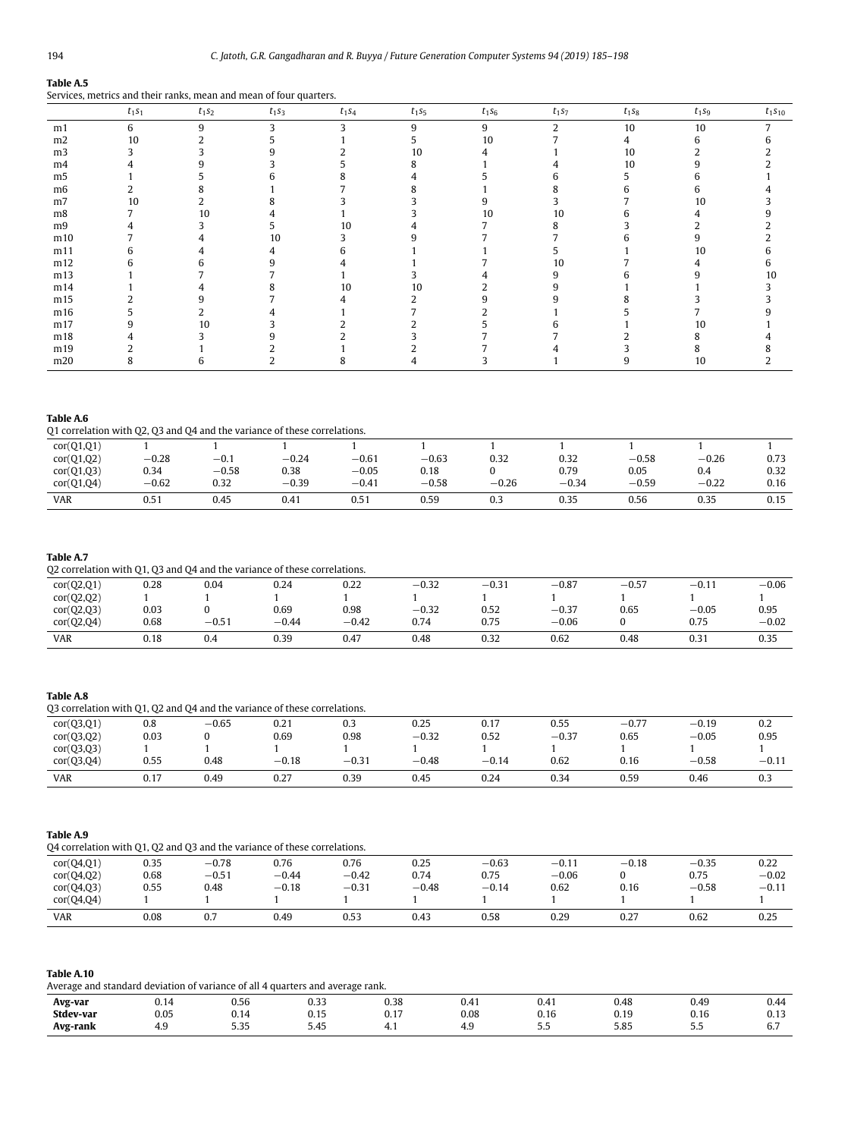# **Table A.5**

|                | $t_1s_1$ | $t_1s_2$ | $t_1s_3$ | $t_1s_4$ | $t_1s_5$ | $t_1s_6$ | $t_1s_7$ | $t_1s_8$ | $t_1s_9$ | $t_1s_1$ |
|----------------|----------|----------|----------|----------|----------|----------|----------|----------|----------|----------|
| m1             | 6        | 9        | 3        |          | 9        | 9        | C.       | 10       | 10       |          |
| m2             | 10       |          |          |          | 5        | 10       |          | 4        | n        | h        |
| m <sub>3</sub> |          |          |          |          | 10       |          |          | 10       |          |          |
| m4             |          |          |          |          |          |          |          | 10       |          |          |
| m <sub>5</sub> |          |          |          |          |          |          | n        | 5.       |          |          |
| m <sub>6</sub> |          |          |          |          |          |          |          | h.       |          |          |
| m7             | 10       |          |          |          |          |          |          |          | 10       |          |
| m8             |          | 10       |          |          |          | 10       | 10       | h.       |          |          |
| m <sub>9</sub> |          |          |          | 10       |          |          |          |          |          |          |
| m10            |          |          | 10       |          |          |          |          |          |          |          |
| m11            |          |          |          |          |          |          |          |          | 10       |          |
| m12            |          |          | q        |          |          |          | 10       |          |          | h        |
| m13            |          |          |          |          |          |          |          | h.       |          | 10       |
| m14            |          |          |          | 10       | 10       |          |          |          |          |          |
| m15            |          |          |          |          |          |          |          |          |          |          |
| m16            |          |          |          |          |          |          |          |          |          |          |
| m17            |          | 10       |          |          |          |          |          |          | 10       |          |
| m18            |          |          |          |          |          |          |          |          |          |          |
| m19            |          |          |          |          |          |          |          |          |          |          |
| m20            |          |          |          |          |          |          |          | 9        | 10       |          |

# <span id="page-9-0"></span>Services, metrics and their ranks, mean and mean of four quarters.

# **Table A.6** Q1 correlation with Q2, Q3 and Q4 and the variance of these correlations.

| cor(Q1,Q2)<br>$-0.58$<br>$-0.28$<br>$-0.61$<br>$-0.63$<br>0.32<br>$-0.26$<br>$-0.24$<br>0.32<br>$-0.1$<br>cor(Q1,Q3)<br>$-0.05$<br>$-0.58$<br>0.79<br>0.05<br>0.38<br>0.34<br>0.18<br>0.4<br>cor(Q1,Q4)<br>$-0.39$<br>$-0.62$<br>$-0.26$<br>0.32<br>$-0.58$<br>$-0.59$<br>$-0.22$<br>$-0.41$<br>$-0.34$<br><b>VAR</b><br>0.15<br>0.51<br>0.45<br>0.59<br>0.35<br>0.56<br>0.35<br>0.41<br>0.51<br>0.3 | cor(Q1,Q1) |  |  |  |  |      |
|------------------------------------------------------------------------------------------------------------------------------------------------------------------------------------------------------------------------------------------------------------------------------------------------------------------------------------------------------------------------------------------------------|------------|--|--|--|--|------|
|                                                                                                                                                                                                                                                                                                                                                                                                      |            |  |  |  |  | 0.73 |
|                                                                                                                                                                                                                                                                                                                                                                                                      |            |  |  |  |  | 0.32 |
|                                                                                                                                                                                                                                                                                                                                                                                                      |            |  |  |  |  | 0.16 |
|                                                                                                                                                                                                                                                                                                                                                                                                      |            |  |  |  |  |      |

# **Table A.7**

# Q2 correlation with Q1, Q3 and Q4 and the variance of these correlations.

| cor(Q2,Q1) | 0.28 | 0.04           | 0.24    | 0.22    | $-0.32$               | $-0.37$ | $-0.87$ | $-0.57$ | $-0.1$      | $-0.06$ |
|------------|------|----------------|---------|---------|-----------------------|---------|---------|---------|-------------|---------|
| cor(Q2,Q2) |      |                |         |         |                       |         |         |         |             |         |
| cor(Q2,Q3) | 0.03 |                | 0.69    | 0.98    | $-0.32$               | 0.52    | $-0.37$ | 0.65    | $-0.05$     | 0.95    |
| cor(Q2,Q4) | 0.68 | $-0.5^{\circ}$ | $-0.44$ | $-0.42$ | $\sim$ $\sim$<br>0.74 | 0.75    | $-0.06$ |         | 0.75        | $-0.02$ |
| <b>VAR</b> | 0.18 | 0.4            | 0.39    | 0.47    | 0.48                  | 0.32    | 0.62    | 0.48    | ົ່<br>U.3 I | 0.35    |

# **Table A.8**

| Q3 correlation with Q1, Q2 and Q4 and the variance of these correlations. |      |         |         |         |         |         |         |         |         |         |
|---------------------------------------------------------------------------|------|---------|---------|---------|---------|---------|---------|---------|---------|---------|
| cor(Q3,Q1)                                                                | 0.8  | $-0.65$ | 0.21    | 0.3     | 0.25    | 0.17    | 0.55    | $-0.77$ | $-0.19$ | 0.2     |
| cor(Q3,Q2)                                                                | 0.03 |         | 0.69    | 0.98    | $-0.32$ | 0.52    | $-0.37$ | 0.65    | $-0.05$ | 0.95    |
| cor(Q3,Q3)                                                                |      |         |         |         |         |         |         |         |         |         |
| cor(Q3,Q4)                                                                | 0.55 | 0.48    | $-0.18$ | $-0.31$ | $-0.48$ | $-0.14$ | 0.62    | 0.16    | $-0.58$ | $-0.11$ |
| <b>VAR</b>                                                                | 0.17 | 0.49    | 0.27    | 0.39    | 0.45    | 0.24    | 0.34    | 0.59    | 0.46    | 0.3     |

# **Table A.9**

| Q4 correlation with Q1, Q2 and Q3 and the variance of these correlations. |      |         |         |         |         |         |         |         |         |         |
|---------------------------------------------------------------------------|------|---------|---------|---------|---------|---------|---------|---------|---------|---------|
| cor(Q4,Q1)                                                                | 0.35 | $-0.78$ | 0.76    | 0.76    | 0.25    | $-0.63$ | $-0.11$ | $-0.18$ | $-0.35$ | 0.22    |
| cor(Q4,Q2)                                                                | 0.68 | $-0.51$ | $-0.44$ | $-0.42$ | 0.74    | 0.75    | $-0.06$ |         | 0.75    | $-0.02$ |
| cor(Q4,Q3)                                                                | 0.55 | 0.48    | $-0.18$ | $-0.31$ | $-0.48$ | $-0.14$ | 0.62    | 0.16    | $-0.58$ | $-0.11$ |
| cor(Q4,Q4)                                                                |      |         |         |         |         |         |         |         |         |         |
| <b>VAR</b>                                                                | 0.08 | 0.7     | 0.49    | 0.53    | 0.43    | 0.58    | 0.29    | 0.27    | 0.62    | 0.25    |

| Table A.10                                                                     |
|--------------------------------------------------------------------------------|
| Average and standard deviation of variance of all 4 quarters and average rank. |

| .<br>_________     |                                   |                   | ---          |                                              |                      |                   |                     |             |                             |
|--------------------|-----------------------------------|-------------------|--------------|----------------------------------------------|----------------------|-------------------|---------------------|-------------|-----------------------------|
| _______<br>Avg-var | . .<br>U.I4                       | 0.56              | . 22<br>◡.◡  | 0.20<br>v.ju                                 | 0.41                 | 0.4 I             | 0.48                | 0.49        | 0.44                        |
| Stdev-var          | 0.05<br>.                         | ינ.ט              | . .<br>ບ. ເມ | 0.17                                         | 0.08<br>.            | . .<br>U. IC<br>. | በ 10<br><b>U.IJ</b> | U. I O<br>. | $\overline{a}$<br>∪.⊥J<br>. |
| Avg-rank           | 40<br><b>I.J</b><br>$\sim$ $\sim$ | - --<br>J.JJ<br>. | 5.45<br>.    | 4<br>x, 1<br>the contract of the contract of | <b>I.J</b><br>$\sim$ | <u></u><br>$ -$   | 5.85<br>.           | .<br>$ -$   | $\sim$ $\sim$<br>ν.,        |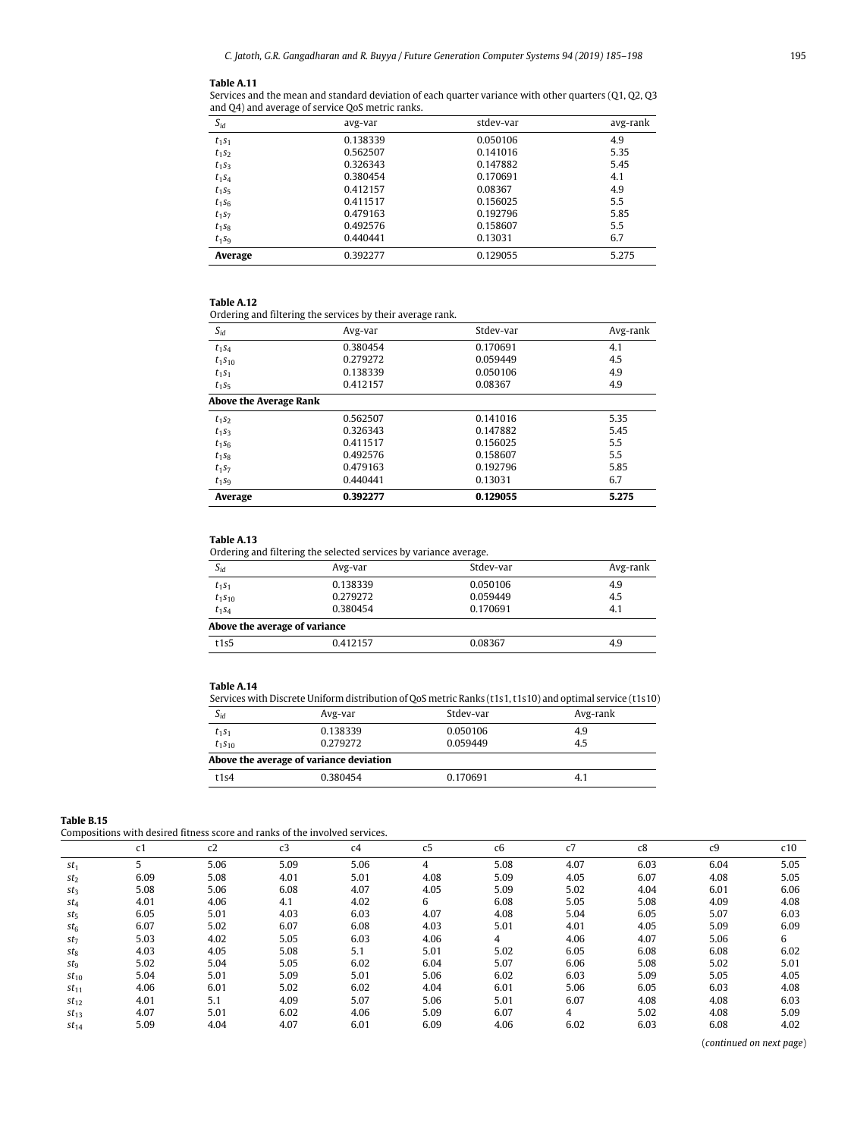### **Table A.11**

Services and the mean and standard deviation of each quarter variance with other quarters (Q1, Q2, Q3 and Q4) and average of service QoS metric ranks.

| $S_{id}$ | avg-var  | stdev-var | avg-rank |
|----------|----------|-----------|----------|
| $t_1s_1$ | 0.138339 | 0.050106  | 4.9      |
| $t_1s_2$ | 0.562507 | 0.141016  | 5.35     |
| $t_1s_3$ | 0.326343 | 0.147882  | 5.45     |
| $t_1s_4$ | 0.380454 | 0.170691  | 4.1      |
| $t_1s_5$ | 0.412157 | 0.08367   | 4.9      |
| $t_1s_6$ | 0.411517 | 0.156025  | 5.5      |
| $t_1s_7$ | 0.479163 | 0.192796  | 5.85     |
| $t_1s_8$ | 0.492576 | 0.158607  | 5.5      |
| $t_1s_9$ | 0.440441 | 0.13031   | 6.7      |
| Average  | 0.392277 | 0.129055  | 5.275    |

## **Table A.12**

Ordering and filtering the services by their average rank.

| $S_{id}$               | Avg-var  | Stdev-var | Avg-rank |
|------------------------|----------|-----------|----------|
| $t_1s_4$               | 0.380454 | 0.170691  | 4.1      |
| $t_1s_{10}$            | 0.279272 | 0.059449  | 4.5      |
| $t_1s_1$               | 0.138339 | 0.050106  | 4.9      |
| $t_1s_5$               | 0.412157 | 0.08367   | 4.9      |
| Above the Average Rank |          |           |          |
| $t_1s_2$               | 0.562507 | 0.141016  | 5.35     |
| $t_1s_3$               | 0.326343 | 0.147882  | 5.45     |
| $t_1s_6$               | 0.411517 | 0.156025  | 5.5      |
| $t_1s_8$               | 0.492576 | 0.158607  | 5.5      |
| $t_1s_7$               | 0.479163 | 0.192796  | 5.85     |
| $t_1s_9$               | 0.440441 | 0.13031   | 6.7      |
| Average                | 0.392277 | 0.129055  | 5.275    |

# **Table A.13**

Ordering and filtering the selected services by variance average.

| <u>ordering and meeting the beleved bet rices by variance average.</u> |          |           |          |  |  |  |  |  |  |
|------------------------------------------------------------------------|----------|-----------|----------|--|--|--|--|--|--|
| $S_{id}$                                                               | Avg-var  | Stdev-var | Avg-rank |  |  |  |  |  |  |
| $t_1s_1$                                                               | 0.138339 | 0.050106  | 4.9      |  |  |  |  |  |  |
| $t_1s_{10}$                                                            | 0.279272 | 0.059449  | 4.5      |  |  |  |  |  |  |
| $t_1s_4$                                                               | 0.380454 | 0.170691  | 4.1      |  |  |  |  |  |  |
| Above the average of variance                                          |          |           |          |  |  |  |  |  |  |
| t1s5                                                                   | 0.412157 | 0.08367   | 4.9      |  |  |  |  |  |  |

## **Table A.14**

Services with Discrete Uniform distribution of QoS metric Ranks (t1s1, t1s10) and optimal service (t1s10)

| $S_{id}$                                | Avg-var  | Stdev-var | Avg-rank |  |  |  |  |  |  |
|-----------------------------------------|----------|-----------|----------|--|--|--|--|--|--|
| $t_1s_1$                                | 0.138339 | 0.050106  | 4.9      |  |  |  |  |  |  |
| $t_1s_{10}$                             | 0.279272 | 0.059449  | 4.5      |  |  |  |  |  |  |
| Above the average of variance deviation |          |           |          |  |  |  |  |  |  |
| t1s4                                    | 0.380454 | 0.170691  | 4.1      |  |  |  |  |  |  |

<span id="page-10-0"></span>

| Table B.15 |
|------------|
|------------|

Compositions with desired fitness score and ranks of the involved services.

|                        | c1   | c2   | c3   | c4   | c5   | c6   | c7             | c8   | c <sub>9</sub> | c10  |
|------------------------|------|------|------|------|------|------|----------------|------|----------------|------|
| $st_1$                 |      | 5.06 | 5.09 | 5.06 | 4    | 5.08 | 4.07           | 6.03 | 6.04           | 5.05 |
| st <sub>2</sub>        | 6.09 | 5.08 | 4.01 | 5.01 | 4.08 | 5.09 | 4.05           | 6.07 | 4.08           | 5.05 |
| St <sub>3</sub>        | 5.08 | 5.06 | 6.08 | 4.07 | 4.05 | 5.09 | 5.02           | 4.04 | 6.01           | 6.06 |
| $st_4$                 | 4.01 | 4.06 | 4.1  | 4.02 | 6    | 6.08 | 5.05           | 5.08 | 4.09           | 4.08 |
| $st_5$                 | 6.05 | 5.01 | 4.03 | 6.03 | 4.07 | 4.08 | 5.04           | 6.05 | 5.07           | 6.03 |
| $st_{6}$               | 6.07 | 5.02 | 6.07 | 6.08 | 4.03 | 5.01 | 4.01           | 4.05 | 5.09           | 6.09 |
| $st_7$                 | 5.03 | 4.02 | 5.05 | 6.03 | 4.06 | 4    | 4.06           | 4.07 | 5.06           | 6    |
| $st_8$                 | 4.03 | 4.05 | 5.08 | 5.1  | 5.01 | 5.02 | 6.05           | 6.08 | 6.08           | 6.02 |
| <i>st</i> <sub>9</sub> | 5.02 | 5.04 | 5.05 | 6.02 | 6.04 | 5.07 | 6.06           | 5.08 | 5.02           | 5.01 |
| $st_{10}$              | 5.04 | 5.01 | 5.09 | 5.01 | 5.06 | 6.02 | 6.03           | 5.09 | 5.05           | 4.05 |
| $st_{11}$              | 4.06 | 6.01 | 5.02 | 6.02 | 4.04 | 6.01 | 5.06           | 6.05 | 6.03           | 4.08 |
| $st_{12}$              | 4.01 | 5.1  | 4.09 | 5.07 | 5.06 | 5.01 | 6.07           | 4.08 | 4.08           | 6.03 |
| $st_{13}$              | 4.07 | 5.01 | 6.02 | 4.06 | 5.09 | 6.07 | $\overline{4}$ | 5.02 | 4.08           | 5.09 |
| $st_{14}$              | 5.09 | 4.04 | 4.07 | 6.01 | 6.09 | 4.06 | 6.02           | 6.03 | 6.08           | 4.02 |

(*continued on next page*)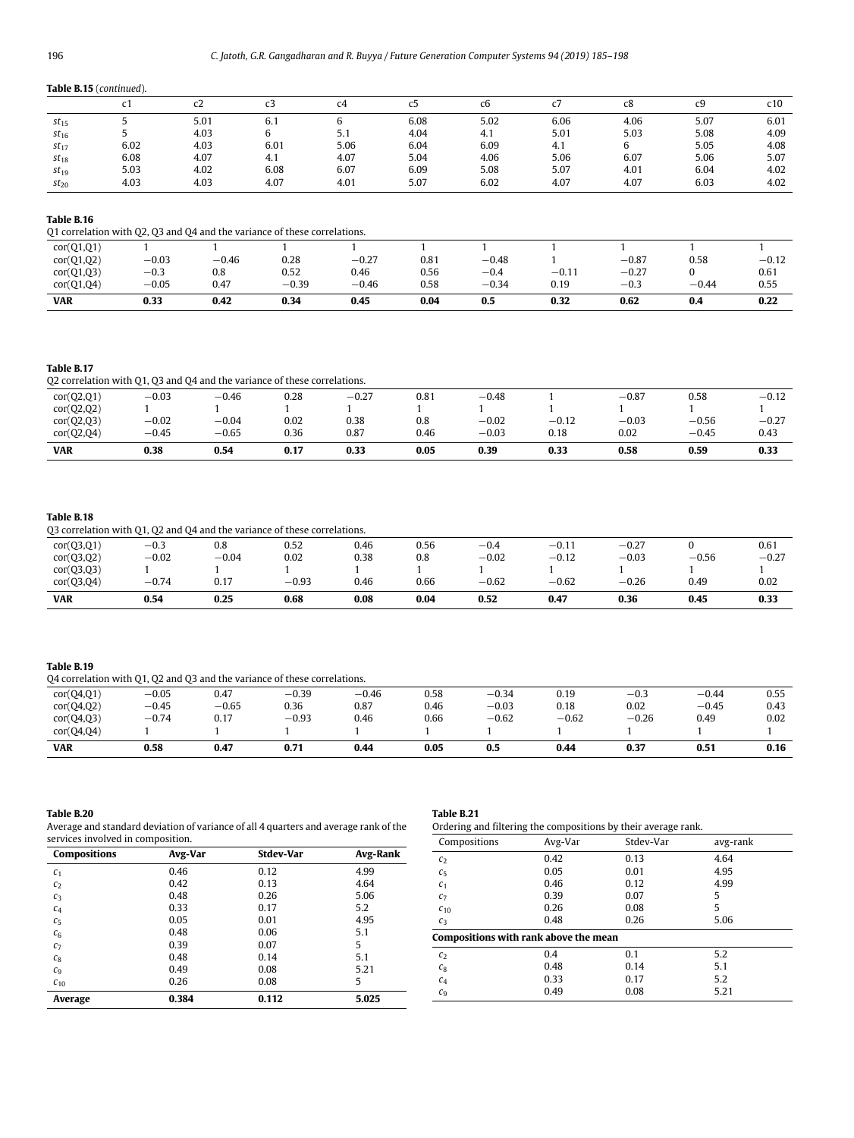# <span id="page-11-0"></span>**Table B.15** (*continued*).

|           |      | c2   | CЗ   | c4   | ບ    | сь   |      | c8   | c9   | c10  |
|-----------|------|------|------|------|------|------|------|------|------|------|
| $st_{15}$ |      | 5.01 | 6.1  |      | 6.08 | 5.02 | 6.06 | 4.06 | 5.07 | 6.01 |
| $st_{16}$ |      | 4.03 | b.   | 5.1  | 4.04 | 4.1  | 5.01 | 5.03 | 5.08 | 4.09 |
| $st_{17}$ | 6.02 | 4.03 | 6.01 | 5.06 | 6.04 | 6.09 | 4.1  |      | 5.05 | 4.08 |
| $st_{18}$ | 6.08 | 4.07 | 4.1  | 4.07 | 5.04 | 4.06 | 5.06 | 6.07 | 5.06 | 5.07 |
| $st_{19}$ | 5.03 | 4.02 | 6.08 | 6.07 | 6.09 | 5.08 | 5.07 | 4.01 | 6.04 | 4.02 |
| $st_{20}$ | 4.03 | 4.03 | 4.07 | 4.01 | 5.07 | 6.02 | 4.07 | 4.07 | 6.03 | 4.02 |

# **Table B.16**

Q1 correlation with Q2, Q3 and Q4 and the variance of these correlations.

| cor(Q1,Q1)<br>cor(Q1,Q2) | $-0.03$           | $-0.46$     | 0.28            | $-0.27$         | 0.81         | $-0.48$               |                 | $-0.87$           | 0.58    | $-0.12$      |
|--------------------------|-------------------|-------------|-----------------|-----------------|--------------|-----------------------|-----------------|-------------------|---------|--------------|
| cor(Q1,Q3)<br>cor(Q1,Q4) | $-0.3$<br>$-0.05$ | 0.8<br>0.47 | 0.52<br>$-0.39$ | 0.46<br>$-0.46$ | 0.56<br>0.58 | $^{ -0.4}$<br>$-0.34$ | $-0.11$<br>0.19 | $-0.27$<br>$-0.3$ | $-0.44$ | 0.61<br>0.55 |
| <b>VAR</b>               | 0.33              | 0.42        | 0.34            | 0.45            | 0.04         | 0.5                   | 0.32            | 0.62              | 0.4     | 0.22         |

## **Table B.17**

|  | Q2 correlation with Q1, Q3 and Q4 and the variance of these correlations. |
|--|---------------------------------------------------------------------------|
|--|---------------------------------------------------------------------------|

| cor(Q2,Q1) | $-0.03$ | $-0.46$ | 0.28 | $-0.27$ | 0.81 | $-0.48$ |         | $-0.87$ | 0.58    | $-0.12$ |
|------------|---------|---------|------|---------|------|---------|---------|---------|---------|---------|
| cor(Q2,Q2) |         |         |      |         |      |         |         |         |         |         |
| cor(Q2,Q3) | $-0.02$ | $-0.04$ | 0.02 | 0.38    | 0.8  | $-0.02$ | $-0.12$ | $-0.03$ | $-0.56$ | $-0.27$ |
| cor(Q2,Q4) | $-0.45$ | $-0.65$ | 0.36 | 0.87    | 0.46 | $-0.03$ | 0.18    | 0.02    | $-0.45$ | 0.43    |
| <b>VAR</b> | 0.38    | 0.54    | 0.17 | 0.33    | 0.05 | 0.39    | 0.33    | 0.58    | 0.59    | 0.33    |

# **Table B.18**

| Q3 correlation with Q1, Q2 and Q4 and the variance of these correlations. |         |         |         |      |          |           |         |         |         |         |
|---------------------------------------------------------------------------|---------|---------|---------|------|----------|-----------|---------|---------|---------|---------|
| cor(Q3,Q1)                                                                | $-0.3$  | 0.8     | 0.52    | 0.46 | 0.56     | $^{-0.4}$ | $-0.11$ | $-0.27$ |         | 0.61    |
| cor(Q3,Q2)                                                                | $-0.02$ | $-0.04$ | 0.02    | 0.38 | $_{0.8}$ | $-0.02$   | $-0.12$ | $-0.03$ | $-0.56$ | $-0.27$ |
| cor(Q3,Q3)                                                                |         |         |         |      |          |           |         |         |         |         |
| cor(Q3,Q4)                                                                | $-0.74$ | 0.17    | $-0.93$ | 0.46 | 0.66     | $-0.62$   | $-0.62$ | $-0.26$ | 0.49    | 0.02    |

# **Table B.19**

|  |  |  | Q4 correlation with Q1, Q2 and Q3 and the variance of these correlations. |
|--|--|--|---------------------------------------------------------------------------|
|--|--|--|---------------------------------------------------------------------------|

| . .        | - -<br>- |         |            |         |      |         |         |         |         |      |
|------------|----------|---------|------------|---------|------|---------|---------|---------|---------|------|
| cor(Q4,Q1) | $-0.05$  | 0.47    | 0.39<br>-1 | $-0.46$ | 0.58 | $-0.34$ | 0.19    | $-0.3$  | $-0.44$ | 0.55 |
| cor(Q4,Q2) | $-0.45$  | $-0.65$ | 0.36       | 0.87    | 0.46 | $-0.03$ | 0.18    | 0.02    | $-0.45$ | 0.43 |
| cor(Q4,Q3) | $-0.74$  | 0.17    | $-0.93$    | 0.46    | 0.66 | $-0.62$ | $-0.62$ | $-0.26$ | 0.49    | 0.02 |
| cor(Q4,Q4) |          |         |            |         |      |         |         |         |         |      |
| <b>VAR</b> | 0.58     | 0.47    | 0.71       | 0.44    | 0.05 | 0.5     | 0.44    | 0.37    | 0.51    | 0.16 |

**VAR 0.54 0.25 0.68 0.08 0.04 0.52 0.47 0.36 0.45 0.33**

| Table B.20 |  |
|------------|--|
|            |  |

Average and standard deviation of variance of all 4 quarters and average rank of the services involved in composition.

| <b>Compositions</b> | Avg-Var | <b>Stdev-Var</b> | Avg-Rank |
|---------------------|---------|------------------|----------|
| c <sub>1</sub>      | 0.46    | 0.12             | 4.99     |
| c <sub>2</sub>      | 0.42    | 0.13             | 4.64     |
| $C_3$               | 0.48    | 0.26             | 5.06     |
| $c_4$               | 0.33    | 0.17             | 5.2      |
| c <sub>5</sub>      | 0.05    | 0.01             | 4.95     |
| $c_6$               | 0.48    | 0.06             | 5.1      |
| c <sub>7</sub>      | 0.39    | 0.07             | 5        |
| $c_8$               | 0.48    | 0.14             | 5.1      |
| $c_{9}$             | 0.49    | 0.08             | 5.21     |
| $c_{10}$            | 0.26    | 0.08             | 5        |
| Average             | 0.384   | 0.112            | 5.025    |

# **Table B.21**

| Ordering and filtering the compositions by their average rank. |         |           |          |  |  |  |
|----------------------------------------------------------------|---------|-----------|----------|--|--|--|
| Compositions                                                   | Avg-Var | Stdev-Var | avg-rank |  |  |  |
| C <sub>2</sub>                                                 | 0.42    | 0.13      | 4.64     |  |  |  |
| c <sub>5</sub>                                                 | 0.05    | 0.01      | 4.95     |  |  |  |
| c <sub>1</sub>                                                 | 0.46    | 0.12      | 4.99     |  |  |  |
| C <sub>7</sub>                                                 | 0.39    | 0.07      | 5        |  |  |  |
| $c_{10}$                                                       | 0.26    | 0.08      | 5        |  |  |  |
| $C_3$                                                          | 0.48    | 0.26      | 5.06     |  |  |  |
| Compositions with rank above the mean                          |         |           |          |  |  |  |
| c <sub>2</sub>                                                 | 0.4     | 0.1       | 5.2      |  |  |  |
| $c_8$                                                          | 0.48    | 0.14      | 5.1      |  |  |  |
| c <sub>4</sub>                                                 | 0.33    | 0.17      | 5.2      |  |  |  |
| C <sub>9</sub>                                                 | 0.49    | 0.08      | 5.21     |  |  |  |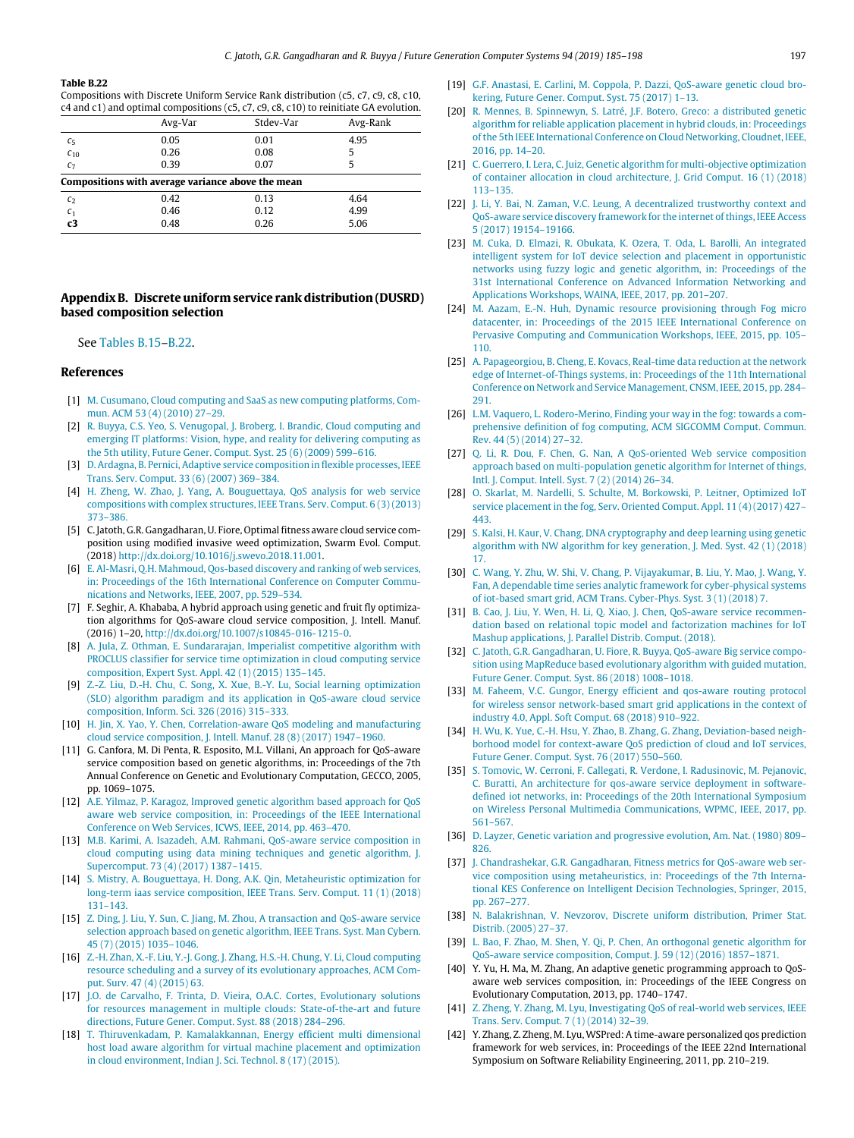#### **Table B.22**

<span id="page-12-40"></span>Compositions with Discrete Uniform Service Rank distribution (c5, c7, c9, c8, c10, c4 and c1) and optimal compositions (c5, c7, c9, c8, c10) to reinitiate GA evolution.

|                                                   | Avg-Var | Stdev-Var | Avg-Rank |  |  |  |  |
|---------------------------------------------------|---------|-----------|----------|--|--|--|--|
| $c_{5}$                                           | 0.05    | 0.01      | 4.95     |  |  |  |  |
| $C_{10}$                                          | 0.26    | 0.08      | 5        |  |  |  |  |
| C <sub>7</sub>                                    | 0.39    | 0.07      | 5        |  |  |  |  |
| Compositions with average variance above the mean |         |           |          |  |  |  |  |
| c <sub>2</sub>                                    | 0.42    | 0.13      | 4.64     |  |  |  |  |
| c <sub>1</sub>                                    | 0.46    | 0.12      | 4.99     |  |  |  |  |
| c3                                                | 0.48    | 0.26      | 5.06     |  |  |  |  |

## **Appendix B. Discrete uniform service rank distribution (DUSRD) based composition selection**

### <span id="page-12-35"></span>See [Tables](#page-11-0) [B.15–](#page-11-0)[B.22.](#page-12-40)

### **References**

- <span id="page-12-0"></span>[1] [M. Cusumano, Cloud computing and SaaS as new computing platforms, Com](http://refhub.elsevier.com/S0167-739X(18)30850-1/sb1)[mun. ACM 53 \(4\) \(2010\) 27–29.](http://refhub.elsevier.com/S0167-739X(18)30850-1/sb1)
- <span id="page-12-1"></span>[2] [R. Buyya, C.S. Yeo, S. Venugopal, J. Broberg, I. Brandic, Cloud computing and](http://refhub.elsevier.com/S0167-739X(18)30850-1/sb2) [emerging IT platforms: Vision, hype, and reality for delivering computing as](http://refhub.elsevier.com/S0167-739X(18)30850-1/sb2) [the 5th utility, Future Gener. Comput. Syst. 25 \(6\) \(2009\) 599–616.](http://refhub.elsevier.com/S0167-739X(18)30850-1/sb2)
- <span id="page-12-2"></span>[3] [D. Ardagna, B. Pernici, Adaptive service composition in flexible processes, IEEE](http://refhub.elsevier.com/S0167-739X(18)30850-1/sb3) [Trans. Serv. Comput. 33 \(6\) \(2007\) 369–384.](http://refhub.elsevier.com/S0167-739X(18)30850-1/sb3)
- <span id="page-12-3"></span>[4] [H. Zheng, W. Zhao, J. Yang, A. Bouguettaya, QoS analysis for web service](http://refhub.elsevier.com/S0167-739X(18)30850-1/sb4) [compositions with complex structures, IEEE Trans. Serv. Comput. 6 \(3\) \(2013\)](http://refhub.elsevier.com/S0167-739X(18)30850-1/sb4) [373–386.](http://refhub.elsevier.com/S0167-739X(18)30850-1/sb4)
- <span id="page-12-4"></span>[5] C. Jatoth, G.R. Gangadharan, U. Fiore, Optimal fitness aware cloud service composition using modified invasive weed optimization, Swarm Evol. Comput. (2018) [http://dx.doi.org/10.1016/j.swevo.2018.11.001.](http://dx.doi.org/10.1016/j.swevo.2018.11.001)
- <span id="page-12-5"></span>[6] [E. Al-Masri, Q.H. Mahmoud, Qos-based discovery and ranking of web services,](http://refhub.elsevier.com/S0167-739X(18)30850-1/sb6) [in: Proceedings of the 16th International Conference on Computer Commu](http://refhub.elsevier.com/S0167-739X(18)30850-1/sb6)[nications and Networks, IEEE, 2007, pp. 529–534.](http://refhub.elsevier.com/S0167-739X(18)30850-1/sb6)
- <span id="page-12-6"></span>[7] F. Seghir, A. Khababa, A hybrid approach using genetic and fruit fly optimization algorithms for QoS-aware cloud service composition, J. Intell. Manuf. (2016) 1–20, <http://dx.doi.org/10.1007/s10845-016-1215-0>.
- [8] [A. Jula, Z. Othman, E. Sundararajan, Imperialist competitive algorithm with](http://refhub.elsevier.com/S0167-739X(18)30850-1/sb8) [PROCLUS classifier for service time optimization in cloud computing service](http://refhub.elsevier.com/S0167-739X(18)30850-1/sb8) [composition, Expert Syst. Appl. 42 \(1\) \(2015\) 135–145.](http://refhub.elsevier.com/S0167-739X(18)30850-1/sb8)
- [9] [Z.-Z. Liu, D.-H. Chu, C. Song, X. Xue, B.-Y. Lu, Social learning optimization](http://refhub.elsevier.com/S0167-739X(18)30850-1/sb9) [\(SLO\) algorithm paradigm and its application in QoS-aware cloud service](http://refhub.elsevier.com/S0167-739X(18)30850-1/sb9) [composition, Inform. Sci. 326 \(2016\) 315–333.](http://refhub.elsevier.com/S0167-739X(18)30850-1/sb9)
- <span id="page-12-7"></span>[10] [H. Jin, X. Yao, Y. Chen, Correlation-aware QoS modeling and manufacturing](http://refhub.elsevier.com/S0167-739X(18)30850-1/sb10) [cloud service composition, J. Intell. Manuf. 28 \(8\) \(2017\) 1947–1960.](http://refhub.elsevier.com/S0167-739X(18)30850-1/sb10)
- <span id="page-12-8"></span>[11] G. Canfora, M. Di Penta, R. Esposito, M.L. Villani, An approach for QoS-aware service composition based on genetic algorithms, in: Proceedings of the 7th Annual Conference on Genetic and Evolutionary Computation, GECCO, 2005, pp. 1069–1075.
- <span id="page-12-9"></span>[12] [A.E. Yilmaz, P. Karagoz, Improved genetic algorithm based approach for QoS](http://refhub.elsevier.com/S0167-739X(18)30850-1/sb12) [aware web service composition, in: Proceedings of the IEEE International](http://refhub.elsevier.com/S0167-739X(18)30850-1/sb12) [Conference on Web Services, ICWS, IEEE, 2014, pp. 463–470.](http://refhub.elsevier.com/S0167-739X(18)30850-1/sb12)
- <span id="page-12-10"></span>[13] [M.B. Karimi, A. Isazadeh, A.M. Rahmani, QoS-aware service composition in](http://refhub.elsevier.com/S0167-739X(18)30850-1/sb13) [cloud computing using data mining techniques and genetic algorithm, J.](http://refhub.elsevier.com/S0167-739X(18)30850-1/sb13) [Supercomput. 73 \(4\) \(2017\) 1387–1415.](http://refhub.elsevier.com/S0167-739X(18)30850-1/sb13)
- <span id="page-12-11"></span>[14] [S. Mistry, A. Bouguettaya, H. Dong, A.K. Qin, Metaheuristic optimization for](http://refhub.elsevier.com/S0167-739X(18)30850-1/sb14) [long-term iaas service composition, IEEE Trans. Serv. Comput. 11 \(1\) \(2018\)](http://refhub.elsevier.com/S0167-739X(18)30850-1/sb14) [131–143.](http://refhub.elsevier.com/S0167-739X(18)30850-1/sb14)
- <span id="page-12-12"></span>[15] [Z. Ding, J. Liu, Y. Sun, C. Jiang, M. Zhou, A transaction and QoS-aware service](http://refhub.elsevier.com/S0167-739X(18)30850-1/sb15) [selection approach based on genetic algorithm, IEEE Trans. Syst. Man Cybern.](http://refhub.elsevier.com/S0167-739X(18)30850-1/sb15) [45 \(7\) \(2015\) 1035–1046.](http://refhub.elsevier.com/S0167-739X(18)30850-1/sb15)
- <span id="page-12-13"></span>[16] [Z.-H. Zhan, X.-F. Liu, Y.-J. Gong, J. Zhang, H.S.-H. Chung, Y. Li, Cloud computing](http://refhub.elsevier.com/S0167-739X(18)30850-1/sb16) [resource scheduling and a survey of its evolutionary approaches, ACM Com](http://refhub.elsevier.com/S0167-739X(18)30850-1/sb16)[put. Surv. 47 \(4\) \(2015\) 63.](http://refhub.elsevier.com/S0167-739X(18)30850-1/sb16)
- <span id="page-12-14"></span>[17] [J.O. de Carvalho, F. Trinta, D. Vieira, O.A.C. Cortes, Evolutionary solutions](http://refhub.elsevier.com/S0167-739X(18)30850-1/sb17) [for resources management in multiple clouds: State-of-the-art and future](http://refhub.elsevier.com/S0167-739X(18)30850-1/sb17) [directions, Future Gener. Comput. Syst. 88 \(2018\) 284–296.](http://refhub.elsevier.com/S0167-739X(18)30850-1/sb17)
- <span id="page-12-15"></span>[18] [T. Thiruvenkadam, P. Kamalakkannan, Energy efficient multi dimensional](http://refhub.elsevier.com/S0167-739X(18)30850-1/sb18) [host load aware algorithm for virtual machine placement and optimization](http://refhub.elsevier.com/S0167-739X(18)30850-1/sb18) [in cloud environment, Indian J. Sci. Technol. 8 \(17\) \(2015\).](http://refhub.elsevier.com/S0167-739X(18)30850-1/sb18)
- <span id="page-12-16"></span>[19] [G.F. Anastasi, E. Carlini, M. Coppola, P. Dazzi, QoS-aware genetic cloud bro](http://refhub.elsevier.com/S0167-739X(18)30850-1/sb19)[kering, Future Gener. Comput. Syst. 75 \(2017\) 1–13.](http://refhub.elsevier.com/S0167-739X(18)30850-1/sb19)
- <span id="page-12-17"></span>[20] [R. Mennes, B. Spinnewyn, S. Latré, J.F. Botero, Greco: a distributed genetic](http://refhub.elsevier.com/S0167-739X(18)30850-1/sb20) [algorithm for reliable application placement in hybrid clouds, in: Proceedings](http://refhub.elsevier.com/S0167-739X(18)30850-1/sb20) [of the 5th IEEE International Conference on Cloud Networking, Cloudnet, IEEE,](http://refhub.elsevier.com/S0167-739X(18)30850-1/sb20) [2016, pp. 14–20.](http://refhub.elsevier.com/S0167-739X(18)30850-1/sb20)
- <span id="page-12-18"></span>[21] [C. Guerrero, I. Lera, C. Juiz, Genetic algorithm for multi-objective optimization](http://refhub.elsevier.com/S0167-739X(18)30850-1/sb21) [of container allocation in cloud architecture, J. Grid Comput. 16 \(1\) \(2018\)](http://refhub.elsevier.com/S0167-739X(18)30850-1/sb21) [113–135.](http://refhub.elsevier.com/S0167-739X(18)30850-1/sb21)
- <span id="page-12-19"></span>[22] [J. Li, Y. Bai, N. Zaman, V.C. Leung, A decentralized trustworthy context and](http://refhub.elsevier.com/S0167-739X(18)30850-1/sb22) [QoS-aware service discovery framework for the internet of things, IEEE Access](http://refhub.elsevier.com/S0167-739X(18)30850-1/sb22) [5 \(2017\) 19154–19166.](http://refhub.elsevier.com/S0167-739X(18)30850-1/sb22)
- <span id="page-12-20"></span>[23] [M. Cuka, D. Elmazi, R. Obukata, K. Ozera, T. Oda, L. Barolli, An integrated](http://refhub.elsevier.com/S0167-739X(18)30850-1/sb23) [intelligent system for IoT device selection and placement in opportunistic](http://refhub.elsevier.com/S0167-739X(18)30850-1/sb23) [networks using fuzzy logic and genetic algorithm, in: Proceedings of the](http://refhub.elsevier.com/S0167-739X(18)30850-1/sb23) [31st International Conference on Advanced Information Networking and](http://refhub.elsevier.com/S0167-739X(18)30850-1/sb23) [Applications Workshops, WAINA, IEEE, 2017, pp. 201–207.](http://refhub.elsevier.com/S0167-739X(18)30850-1/sb23)
- <span id="page-12-21"></span>[24] [M. Aazam, E.-N. Huh, Dynamic resource provisioning through Fog micro](http://refhub.elsevier.com/S0167-739X(18)30850-1/sb24) [datacenter, in: Proceedings of the 2015 IEEE International Conference on](http://refhub.elsevier.com/S0167-739X(18)30850-1/sb24) [Pervasive Computing and Communication Workshops, IEEE, 2015, pp. 105–](http://refhub.elsevier.com/S0167-739X(18)30850-1/sb24) [110.](http://refhub.elsevier.com/S0167-739X(18)30850-1/sb24)
- [25] [A. Papageorgiou, B. Cheng, E. Kovacs, Real-time data reduction at the network](http://refhub.elsevier.com/S0167-739X(18)30850-1/sb25) [edge of Internet-of-Things systems, in: Proceedings of the 11th International](http://refhub.elsevier.com/S0167-739X(18)30850-1/sb25) [Conference on Network and Service Management, CNSM, IEEE, 2015, pp. 284–](http://refhub.elsevier.com/S0167-739X(18)30850-1/sb25) [291.](http://refhub.elsevier.com/S0167-739X(18)30850-1/sb25)
- <span id="page-12-22"></span>[26] [L.M. Vaquero, L. Rodero-Merino, Finding your way in the fog: towards a com](http://refhub.elsevier.com/S0167-739X(18)30850-1/sb26)[prehensive definition of fog computing, ACM SIGCOMM Comput. Commun.](http://refhub.elsevier.com/S0167-739X(18)30850-1/sb26) [Rev. 44 \(5\) \(2014\) 27–32.](http://refhub.elsevier.com/S0167-739X(18)30850-1/sb26)
- <span id="page-12-23"></span>[27] [Q. Li, R. Dou, F. Chen, G. Nan, A QoS-oriented Web service composition](http://refhub.elsevier.com/S0167-739X(18)30850-1/sb27) [approach based on multi-population genetic algorithm for Internet of things,](http://refhub.elsevier.com/S0167-739X(18)30850-1/sb27) [Intl. J. Comput. Intell. Syst. 7 \(2\) \(2014\) 26–34.](http://refhub.elsevier.com/S0167-739X(18)30850-1/sb27)
- <span id="page-12-24"></span>[28] [O. Skarlat, M. Nardelli, S. Schulte, M. Borkowski, P. Leitner, Optimized IoT](http://refhub.elsevier.com/S0167-739X(18)30850-1/sb28) [service placement in the fog, Serv. Oriented Comput. Appl. 11 \(4\) \(2017\) 427–](http://refhub.elsevier.com/S0167-739X(18)30850-1/sb28) [443.](http://refhub.elsevier.com/S0167-739X(18)30850-1/sb28)
- <span id="page-12-25"></span>[29] [S. Kalsi, H. Kaur, V. Chang, DNA cryptography and deep learning using genetic](http://refhub.elsevier.com/S0167-739X(18)30850-1/sb29) [algorithm with NW algorithm for key generation, J. Med. Syst. 42 \(1\) \(2018\)](http://refhub.elsevier.com/S0167-739X(18)30850-1/sb29) [17.](http://refhub.elsevier.com/S0167-739X(18)30850-1/sb29)
- <span id="page-12-26"></span>[30] [C. Wang, Y. Zhu, W. Shi, V. Chang, P. Vijayakumar, B. Liu, Y. Mao, J. Wang, Y.](http://refhub.elsevier.com/S0167-739X(18)30850-1/sb30) [Fan, A dependable time series analytic framework for cyber-physical systems](http://refhub.elsevier.com/S0167-739X(18)30850-1/sb30) [of iot-based smart grid, ACM Trans. Cyber-Phys. Syst. 3 \(1\) \(2018\) 7.](http://refhub.elsevier.com/S0167-739X(18)30850-1/sb30)
- <span id="page-12-27"></span>[31] [B. Cao, J. Liu, Y. Wen, H. Li, Q. Xiao, J. Chen, QoS-aware service recommen](http://refhub.elsevier.com/S0167-739X(18)30850-1/sb31)[dation based on relational topic model and factorization machines for IoT](http://refhub.elsevier.com/S0167-739X(18)30850-1/sb31) [Mashup applications, J. Parallel Distrib. Comput. \(2018\).](http://refhub.elsevier.com/S0167-739X(18)30850-1/sb31)
- <span id="page-12-28"></span>[32] [C. Jatoth, G.R. Gangadharan, U. Fiore, R. Buyya, QoS-aware Big service compo](http://refhub.elsevier.com/S0167-739X(18)30850-1/sb32)[sition using MapReduce based evolutionary algorithm with guided mutation,](http://refhub.elsevier.com/S0167-739X(18)30850-1/sb32) [Future Gener. Comput. Syst. 86 \(2018\) 1008–1018.](http://refhub.elsevier.com/S0167-739X(18)30850-1/sb32)
- <span id="page-12-29"></span>[33] [M. Faheem, V.C. Gungor, Energy efficient and qos-aware routing protocol](http://refhub.elsevier.com/S0167-739X(18)30850-1/sb33) [for wireless sensor network-based smart grid applications in the context of](http://refhub.elsevier.com/S0167-739X(18)30850-1/sb33) [industry 4.0, Appl. Soft Comput. 68 \(2018\) 910–922.](http://refhub.elsevier.com/S0167-739X(18)30850-1/sb33)
- <span id="page-12-30"></span>[34] [H. Wu, K. Yue, C.-H. Hsu, Y. Zhao, B. Zhang, G. Zhang, Deviation-based neigh](http://refhub.elsevier.com/S0167-739X(18)30850-1/sb34)[borhood model for context-aware QoS prediction of cloud and IoT services,](http://refhub.elsevier.com/S0167-739X(18)30850-1/sb34) [Future Gener. Comput. Syst. 76 \(2017\) 550–560.](http://refhub.elsevier.com/S0167-739X(18)30850-1/sb34)
- <span id="page-12-31"></span>[35] [S. Tomovic, W. Cerroni, F. Callegati, R. Verdone, I. Radusinovic, M. Pejanovic,](http://refhub.elsevier.com/S0167-739X(18)30850-1/sb35) [C. Buratti, An architecture for qos-aware service deployment in software](http://refhub.elsevier.com/S0167-739X(18)30850-1/sb35)[defined iot networks, in: Proceedings of the 20th International Symposium](http://refhub.elsevier.com/S0167-739X(18)30850-1/sb35) [on Wireless Personal Multimedia Communications, WPMC, IEEE, 2017, pp.](http://refhub.elsevier.com/S0167-739X(18)30850-1/sb35) [561–567.](http://refhub.elsevier.com/S0167-739X(18)30850-1/sb35)
- <span id="page-12-32"></span>[36] [D. Layzer, Genetic variation and progressive evolution, Am. Nat. \(1980\) 809–](http://refhub.elsevier.com/S0167-739X(18)30850-1/sb36) [826.](http://refhub.elsevier.com/S0167-739X(18)30850-1/sb36)
- <span id="page-12-33"></span>[37] [J. Chandrashekar, G.R. Gangadharan, Fitness metrics for QoS-aware web ser](http://refhub.elsevier.com/S0167-739X(18)30850-1/sb37)[vice composition using metaheuristics, in: Proceedings of the 7th Interna](http://refhub.elsevier.com/S0167-739X(18)30850-1/sb37)[tional KES Conference on Intelligent Decision Technologies, Springer, 2015,](http://refhub.elsevier.com/S0167-739X(18)30850-1/sb37) [pp. 267–277.](http://refhub.elsevier.com/S0167-739X(18)30850-1/sb37)
- <span id="page-12-34"></span>[38] [N. Balakrishnan, V. Nevzorov, Discrete uniform distribution, Primer Stat.](http://refhub.elsevier.com/S0167-739X(18)30850-1/sb38) [Distrib. \(2005\) 27–37.](http://refhub.elsevier.com/S0167-739X(18)30850-1/sb38)
- <span id="page-12-38"></span>[39] [L. Bao, F. Zhao, M. Shen, Y. Qi, P. Chen, An orthogonal genetic algorithm for](http://refhub.elsevier.com/S0167-739X(18)30850-1/sb39) [QoS-aware service composition, Comput. J. 59 \(12\) \(2016\) 1857–1871.](http://refhub.elsevier.com/S0167-739X(18)30850-1/sb39)
- <span id="page-12-39"></span>[40] Y. Yu, H. Ma, M. Zhang, An adaptive genetic programming approach to QoSaware web services composition, in: Proceedings of the IEEE Congress on Evolutionary Computation, 2013, pp. 1740–1747.
- <span id="page-12-36"></span>[41] [Z. Zheng, Y. Zhang, M. Lyu, Investigating QoS of real-world web services, IEEE](http://refhub.elsevier.com/S0167-739X(18)30850-1/sb41) [Trans. Serv. Comput. 7 \(1\) \(2014\) 32–39.](http://refhub.elsevier.com/S0167-739X(18)30850-1/sb41)
- <span id="page-12-37"></span>[42] Y. Zhang, Z. Zheng, M. Lyu, WSPred: A time-aware personalized qos prediction framework for web services, in: Proceedings of the IEEE 22nd International Symposium on Software Reliability Engineering, 2011, pp. 210–219.